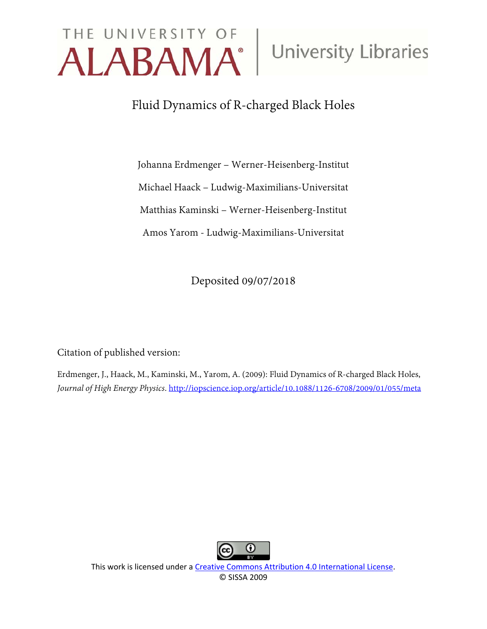# THE UNIVERSITY OF University Libraries

# Fluid Dynamics of R-charged Black Holes

Johanna Erdmenger – Werner-Heisenberg-Institut Michael Haack – Ludwig-Maximilians-Universitat Matthias Kaminski – Werner-Heisenberg-Institut Amos Yarom - Ludwig-Maximilians-Universitat

Deposited 09/07/2018

Citation of published version:

Erdmenger, J., Haack, M., Kaminski, M., Yarom, A. (2009): Fluid Dynamics of R-charged Black Holes, *Journal of High Energy Physics*. http://iopscience.iop.org/article/10.1088/1126-6708/2009/01/055/meta



This work is licensed under a [Creative Commons Attribution 4.0 International License.](http://creativecommons.org/licenses/by/4.0/) © SISSA 2009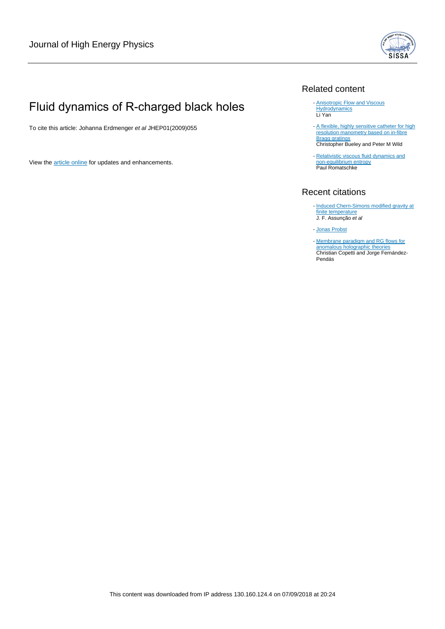

# Fluid dynamics of R-charged black holes

To cite this article: Johanna Erdmenger et al JHEP01(2009)055

View the [article online](https://doi.org/10.1088/1126-6708/2009/01/055) for updates and enhancements.

## Related content

- **[Anisotropic Flow and Viscous](http://iopscience.iop.org/article/10.1088/1742-6596/389/1/012014) [Hydrodynamics](http://iopscience.iop.org/article/10.1088/1742-6596/389/1/012014)** Li Yan
- [A flexible, highly sensitive catheter for high](http://iopscience.iop.org/article/10.1088/0957-0233/24/9/094003) [resolution manometry based on in-fibre](http://iopscience.iop.org/article/10.1088/0957-0233/24/9/094003) **[Bragg gratings](http://iopscience.iop.org/article/10.1088/0957-0233/24/9/094003)** Christopher Bueley and Peter M Wild -
- [Relativistic viscous fluid dynamics and](http://iopscience.iop.org/article/10.1088/0264-9381/27/2/025006) [non-equilibrium entropy](http://iopscience.iop.org/article/10.1088/0264-9381/27/2/025006) **Paul Romatschke** -

## Recent citations

- [Induced Chern-Simons modified gravity at](http://dx.doi.org/10.1007/JHEP08(2018)072) <mark>[finite temperature](http://dx.doi.org/10.1007/JHEP08(2018)072)</mark><br>J. F. Assunção *et al*
- [Jonas Probst](http://dx.doi.org/10.1007/978-3-319-93967-4_4)
- [Membrane paradigm and RG flows for](http://dx.doi.org/10.1007/JHEP04(2018)134) [anomalous holographic theories](http://dx.doi.org/10.1007/JHEP04(2018)134) Christian Copetti and Jorge Fernández-Pendás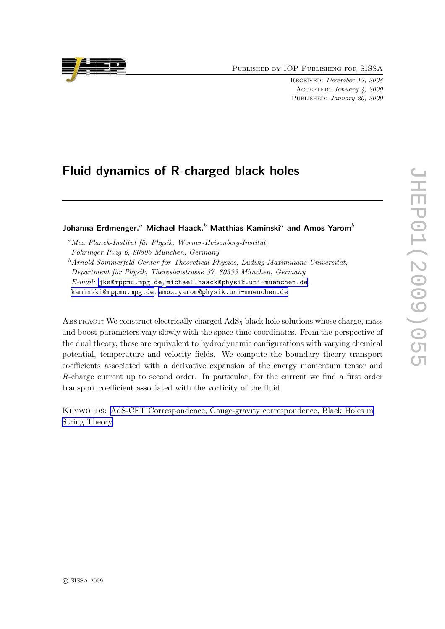Published by IOP Publishing for SISSA

Received: December 17, 2008 Accepted: January 4, 2009 Published: January 20, 2009

# Fluid dynamics of R-charged black holes

## Johanna Erdmenger,<sup>a</sup> Michael Haack,<sup>b</sup> Matthias Kaminski<sup>a</sup> and Amos Yarom<sup>b</sup>

 ${}^a$ Max Planck-Institut für Physik, Werner-Heisenberg-Institut, Föhringer Ring 6, 80805 München, Germany  $^{b}$ Arnold Sommerfeld Center for Theoretical Physics, Ludwig-Maximilians-Universität, Department für Physik, Theresienstrasse 37, 80333 München, Germany E-mail: [jke@mppmu.mpg.de](mailto:jke@mppmu.mpg.de), [michael.haack@physik.uni-muenchen.de](mailto:michael.haack@physik.uni-muenchen.de), [kaminski@mppmu.mpg.de](mailto:kaminski@mppmu.mpg.de), [amos.yarom@physik.uni-muenchen.de](mailto:amos.yarom@physik.uni-muenchen.de)

ABSTRACT: We construct electrically charged  $AdS_5$  black hole solutions whose charge, mass and boost-parameters vary slowly with the space-time coordinates. From the perspective of the dual theory, these are equivalent to hydrodynamic configurations with varying chemical potential, temperature and velocity fields. We compute the boundary theory transport coefficients associated with a derivative expansion of the energy momentum tensor and R-charge current up to second order. In particular, for the current we find a first order transport coefficient associated with the vorticity of the fluid.

Keywords: [AdS-CFT Correspondence, Gauge-gravity correspondence, Black Holes in](http://jhep.sissa.it/stdsearch) [String Theory](http://jhep.sissa.it/stdsearch).

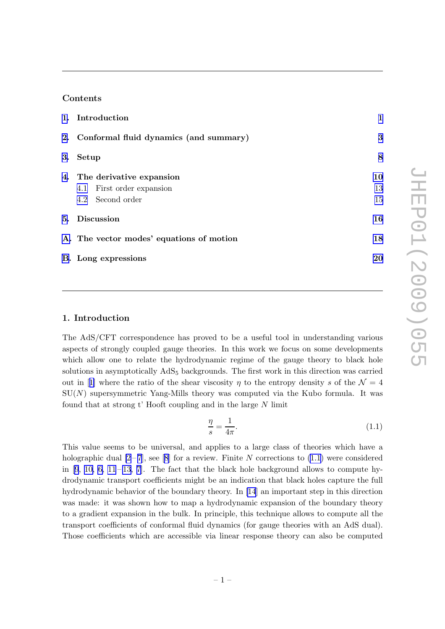#### <span id="page-3-0"></span>Contents

| 1. Introduction                           | 1  |
|-------------------------------------------|----|
| 2. Conformal fluid dynamics (and summary) | 3  |
| 3. Setup                                  | 8  |
| 4. The derivative expansion               | 10 |
| 4.1 First order expansion                 | 13 |
| 4.2 Second order                          | 15 |
| 5. Discussion                             | 16 |
| A. The vector modes' equations of motion  | 18 |
| <b>B.</b> Long expressions                | 20 |

#### 1. Introduction

The AdS/CFT correspondence has proved to be a useful tool in understanding various aspects of strongly coupled gauge theories. In this work we focus on some developments which allow one to relate the hydrodynamic regime of the gauge theory to black hole solutions in asymptotically AdS<sub>5</sub> backgrounds. The first work in this direction was carried outin [[1\]](#page-25-0) where the ratio of the shear viscosity  $\eta$  to the entropy density s of the  $\mathcal{N} = 4$  $SU(N)$  supersymmetric Yang-Mills theory was computed via the Kubo formula. It was found that at strong  $t'$  Hooft coupling and in the large  $N$  limit

$$
\frac{\eta}{s} = \frac{1}{4\pi}.\tag{1.1}
$$

This value seems to be universal, and applies to a large class of theories which have a holographicdual  $[2-7]$ , see [[8](#page-25-0)] for a review. Finite N corrections to (1.1) were considered in  $[9, 10, 6, 11-13, 7]$  $[9, 10, 6, 11-13, 7]$  $[9, 10, 6, 11-13, 7]$  $[9, 10, 6, 11-13, 7]$  $[9, 10, 6, 11-13, 7]$ . The fact that the black hole background allows to compute hydrodynamic transport coefficients might be an indication that black holes capture the full hydrodynamic behavior of the boundary theory. In [\[14](#page-25-0)] an important step in this direction was made: it was shown how to map a hydrodynamic expansion of the boundary theory to a gradient expansion in the bulk. In principle, this technique allows to compute all the transport coefficients of conformal fluid dynamics (for gauge theories with an AdS dual). Those coefficients which are accessible via linear response theory can also be computed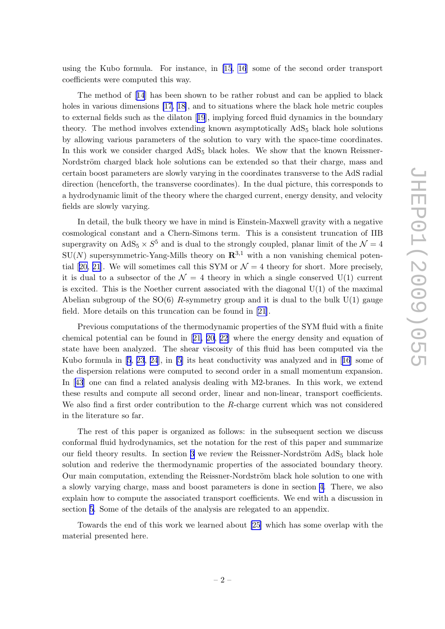using the Kubo formula. For instance, in [\[15](#page-25-0), [16](#page-26-0)] some of the second order transport coefficients were computed this way.

The method of[[14](#page-25-0)] has been shown to be rather robust and can be applied to black holes in various dimensions [\[17](#page-26-0), [18\]](#page-26-0), and to situations where the black hole metric couples to external fields such as the dilaton[[19](#page-26-0)], implying forced fluid dynamics in the boundary theory. The method involves extending known asymptotically AdS<sup>5</sup> black hole solutions by allowing various parameters of the solution to vary with the space-time coordinates. In this work we consider charged  $AdS_5$  black holes. We show that the known Reissner-Nordström charged black hole solutions can be extended so that their charge, mass and certain boost parameters are slowly varying in the coordinates transverse to the AdS radial direction (henceforth, the transverse coordinates). In the dual picture, this corresponds to a hydrodynamic limit of the theory where the charged current, energy density, and velocity fields are slowly varying.

In detail, the bulk theory we have in mind is Einstein-Maxwell gravity with a negative cosmological constant and a Chern-Simons term. This is a consistent truncation of IIB supergravity on  $AdS_5 \times S^5$  and is dual to the strongly coupled, planar limit of the  $\mathcal{N} = 4$  $SU(N)$  supersymmetric-Yang-Mills theory on  $\mathbb{R}^{3,1}$  with a non vanishing chemical poten-tial[[20, 21](#page-26-0)]. We will sometimes call this SYM or  $\mathcal{N}=4$  theory for short. More precisely, it is dual to a subsector of the  $\mathcal{N} = 4$  theory in which a single conserved U(1) current is excited. This is the Noether current associated with the diagonal  $U(1)$  of the maximal Abelian subgroup of the  $SO(6)$  R-symmetry group and it is dual to the bulk  $U(1)$  gauge field. More details on this truncation can be found in [\[21\]](#page-26-0).

Previous computations of the thermodynamic properties of the SYM fluid with a finite chemical potential can be found in[[21, 20, 22\]](#page-26-0) where the energy density and equation of state have been analyzed. The shear viscosity of this fluid has been computed via the Kubo formula in [\[5](#page-25-0), [23](#page-26-0), [24](#page-26-0)], in [\[5\]](#page-25-0) its heat conductivity was analyzed and in[[16](#page-26-0)] some of the dispersion relations were computed to second order in a small momentum expansion. In[[43](#page-27-0)] one can find a related analysis dealing with M2-branes. In this work, we extend these results and compute all second order, linear and non-linear, transport coefficients. We also find a first order contribution to the R-charge current which was not considered in the literature so far.

The rest of this paper is organized as follows: in the subsequent section we discuss conformal fluid hydrodynamics, set the notation for the rest of this paper and summarize our field theory results. In section [3](#page-10-0) we review the Reissner-Nordström  $AdS_5$  black hole solution and rederive the thermodynamic properties of the associated boundary theory. Our main computation, extending the Reissner-Nordström black hole solution to one with a slowly varying charge, mass and boost parameters is done in section [4.](#page-12-0) There, we also explain how to compute the associated transport coefficients. We end with a discussion in section [5](#page-18-0). Some of the details of the analysis are relegated to an appendix.

Towards the end of this work we learned about [\[25](#page-26-0)] which has some overlap with the material presented here.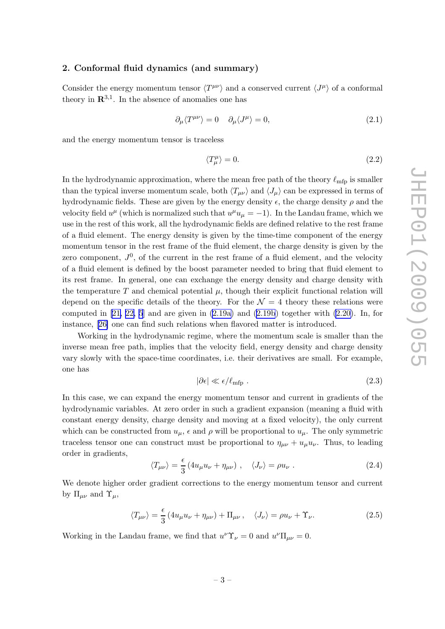#### <span id="page-5-0"></span>2. Conformal fluid dynamics (and summary)

Consider the energy momentum tensor  $\langle T^{\mu\nu} \rangle$  and a conserved current  $\langle J^{\mu} \rangle$  of a conformal theory in  $\mathbb{R}^{3,1}$ . In the absence of anomalies one has

$$
\partial_{\mu} \langle T^{\mu \nu} \rangle = 0 \quad \partial_{\mu} \langle J^{\mu} \rangle = 0, \tag{2.1}
$$

and the energy momentum tensor is traceless

$$
\langle T^{\mu}_{\mu} \rangle = 0. \tag{2.2}
$$

In the hydrodynamic approximation, where the mean free path of the theory  $\ell_{\rm mfp}$  is smaller than the typical inverse momentum scale, both  $\langle T_{\mu\nu} \rangle$  and  $\langle J_{\mu} \rangle$  can be expressed in terms of hydrodynamic fields. These are given by the energy density  $\epsilon$ , the charge density  $\rho$  and the velocity field  $u^{\mu}$  (which is normalized such that  $u^{\mu}u_{\mu} = -1$ ). In the Landau frame, which we use in the rest of this work, all the hydrodynamic fields are defined relative to the rest frame of a fluid element. The energy density is given by the time-time component of the energy momentum tensor in the rest frame of the fluid element, the charge density is given by the zero component,  $J^0$ , of the current in the rest frame of a fluid element, and the velocity of a fluid element is defined by the boost parameter needed to bring that fluid element to its rest frame. In general, one can exchange the energy density and charge density with the temperature T and chemical potential  $\mu$ , though their explicit functional relation will depend on the specific details of the theory. For the  $\mathcal{N} = 4$  theory these relations were computed in  $[21, 22, 5]$  $[21, 22, 5]$  $[21, 22, 5]$  and are given in  $(2.19a)$  and  $(2.19b)$  $(2.19b)$  together with  $(2.20)$ . In, for instance,[[26\]](#page-26-0) one can find such relations when flavored matter is introduced.

Working in the hydrodynamic regime, where the momentum scale is smaller than the inverse mean free path, implies that the velocity field, energy density and charge density vary slowly with the space-time coordinates, i.e. their derivatives are small. For example, one has

$$
|\partial \epsilon| \ll \epsilon / \ell_{\rm mfp} \tag{2.3}
$$

In this case, we can expand the energy momentum tensor and current in gradients of the hydrodynamic variables. At zero order in such a gradient expansion (meaning a fluid with constant energy density, charge density and moving at a fixed velocity), the only current which can be constructed from  $u_{\mu}$ ,  $\epsilon$  and  $\rho$  will be proportional to  $u_{\mu}$ . The only symmetric traceless tensor one can construct must be proportional to  $\eta_{\mu\nu} + u_{\mu}u_{\nu}$ . Thus, to leading order in gradients,

$$
\langle T_{\mu\nu} \rangle = \frac{\epsilon}{3} \left( 4u_{\mu}u_{\nu} + \eta_{\mu\nu} \right) , \quad \langle J_{\nu} \rangle = \rho u_{\nu} . \tag{2.4}
$$

We denote higher order gradient corrections to the energy momentum tensor and current by  $\Pi_{\mu\nu}$  and  $\Upsilon_{\mu}$ ,

$$
\langle T_{\mu\nu}\rangle = \frac{\epsilon}{3} \left( 4u_{\mu}u_{\nu} + \eta_{\mu\nu} \right) + \Pi_{\mu\nu} \,, \quad \langle J_{\nu}\rangle = \rho u_{\nu} + \Upsilon_{\nu}.\tag{2.5}
$$

Working in the Landau frame, we find that  $u^{\nu} \Upsilon_{\nu} = 0$  and  $u^{\nu} \Pi_{\mu \nu} = 0$ .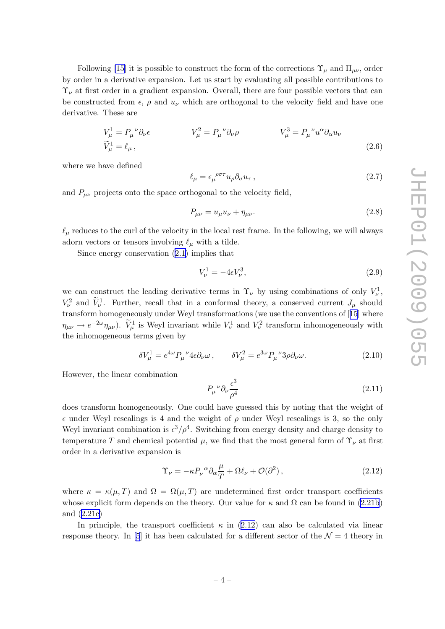<span id="page-6-0"></span>Following [\[15](#page-25-0)] it is possible to construct the form of the corrections  $\Upsilon_{\mu}$  and  $\Pi_{\mu\nu}$ , order by order in a derivative expansion. Let us start by evaluating all possible contributions to  $\Upsilon_{\nu}$  at first order in a gradient expansion. Overall, there are four possible vectors that can be constructed from  $\epsilon$ ,  $\rho$  and  $u_{\nu}$  which are orthogonal to the velocity field and have one derivative. These are

$$
V_{\mu}^{1} = P_{\mu}^{\ \nu} \partial_{\nu} \epsilon \qquad V_{\mu}^{2} = P_{\mu}^{\ \nu} \partial_{\nu} \rho \qquad V_{\mu}^{3} = P_{\mu}^{\ \nu} u^{\alpha} \partial_{\alpha} u_{\nu}
$$
  
\n
$$
\widetilde{V}_{\mu}^{1} = \ell_{\mu} \,, \tag{2.6}
$$

where we have defined

$$
\ell_{\mu} = \epsilon_{\mu}^{\ \rho \sigma \tau} u_{\rho} \partial_{\sigma} u_{\tau} \,, \tag{2.7}
$$

and  $P_{\mu\nu}$  projects onto the space orthogonal to the velocity field,

$$
P_{\mu\nu} = u_{\mu}u_{\nu} + \eta_{\mu\nu}.
$$
\n(2.8)

 $\ell_{\mu}$  reduces to the curl of the velocity in the local rest frame. In the following, we will always adorn vectors or tensors involving  $\ell_{\mu}$  with a tilde.

Since energy conservation [\(2.1\)](#page-5-0) implies that

$$
V^1_\nu = -4\epsilon V^3_\nu,\tag{2.9}
$$

we can construct the leading derivative terms in  $\Upsilon_{\nu}$  by using combinations of only  $V_{\nu}^1$ ,  $V_{\nu}^2$  and  $\tilde{V}_{\nu}^1$ . Further, recall that in a conformal theory, a conserved current  $J_{\mu}$  should transform homogeneously under Weyl transformations (we use the conventions of[[15](#page-25-0)] where  $\eta_{\mu\nu} \to e^{-2\omega}\eta_{\mu\nu}$ ).  $\tilde{V}^1_\mu$  is Weyl invariant while  $V^1_\nu$  and  $V^2_\nu$  transform inhomogeneously with the inhomogeneous terms given by

$$
\delta V_{\mu}^{1} = e^{4\omega} P_{\mu}^{\ \nu} 4\epsilon \partial_{\nu} \omega , \qquad \delta V_{\mu}^{2} = e^{3\omega} P_{\mu}^{\ \nu} 3\rho \partial_{\nu} \omega . \tag{2.10}
$$

However, the linear combination

$$
P_{\mu}{}^{\nu}\partial_{\nu}\frac{\epsilon^3}{\rho^4} \tag{2.11}
$$

does transform homogeneously. One could have guessed this by noting that the weight of  $\epsilon$  under Weyl rescalings is 4 and the weight of  $\rho$  under Weyl rescalings is 3, so the only Weyl invariant combination is  $\epsilon^3/\rho^4$ . Switching from energy density and charge density to temperature T and chemical potential  $\mu$ , we find that the most general form of  $\Upsilon_{\nu}$  at first order in a derivative expansion is

$$
\Upsilon_{\nu} = -\kappa P_{\nu}{}^{\alpha} \partial_{\alpha} \frac{\mu}{T} + \Omega \ell_{\nu} + \mathcal{O}(\partial^2) , \qquad (2.12)
$$

where  $\kappa = \kappa(\mu, T)$  and  $\Omega = \Omega(\mu, T)$  are undetermined first order transport coefficients whose explicit form depends on the theory. Our value for  $\kappa$  and  $\Omega$  can be found in [\(2.21b](#page-8-0)) and ([2.21c\)](#page-8-0)

In principle, the transport coefficient  $\kappa$  in (2.12) can also be calculated via linear responsetheory. In [[5](#page-25-0)] it has been calculated for a different sector of the  $\mathcal{N}=4$  theory in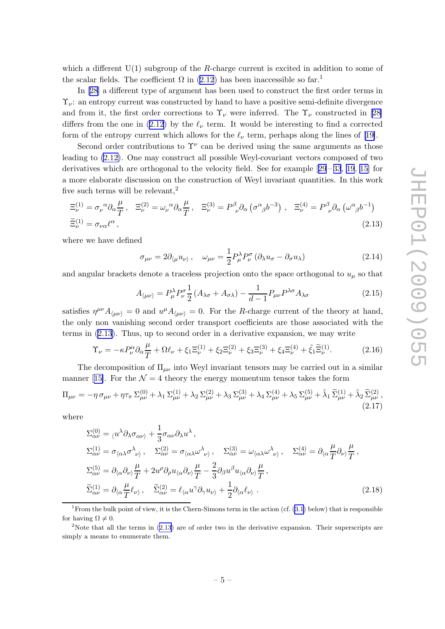<span id="page-7-0"></span>which a different  $U(1)$  subgroup of the R-charge current is excited in addition to some of the scalar fields. The coefficient  $\Omega$  in [\(2.12](#page-6-0)) has been inaccessible so far.<sup>1</sup>

In [\[28\]](#page-26-0) a different type of argument has been used to construct the first order terms in  $\Upsilon_{\nu}$ : an entropy current was constructed by hand to have a positive semi-definite divergence and from it, the first order corrections to  $\Upsilon_{\nu}$  were inferred. The  $\Upsilon_{\nu}$  constructed in [\[28\]](#page-26-0) differs from the one in ([2.12](#page-6-0)) by the  $\ell_{\nu}$  term. It would be interesting to find a corrected formof the entropy current which allows for the  $\ell_{\nu}$  term, perhaps along the lines of [[19\]](#page-26-0).

Second order contributions to  $\Upsilon^{\nu}$  can be derived using the same arguments as those leading to [\(2.12\)](#page-6-0). One may construct all possible Weyl-covariant vectors composed of two derivativeswhich are orthogonal to the velocity field. See for example  $[29-33, 19, 15]$  $[29-33, 19, 15]$  $[29-33, 19, 15]$  $[29-33, 19, 15]$  $[29-33, 19, 15]$  $[29-33, 19, 15]$  $[29-33, 19, 15]$  for a more elaborate discussion on the construction of Weyl invariant quantities. In this work five such terms will be relevant,<sup>2</sup>

$$
\Xi_{\nu}^{(1)} = \sigma_{\nu}{}^{\alpha} \partial_{\alpha} \frac{\mu}{T}, \quad \Xi_{\nu}^{(2)} = \omega_{\nu}{}^{\alpha} \partial_{\alpha} \frac{\mu}{T}, \quad \Xi_{\nu}^{(3)} = P^{\beta}{}_{\nu} \partial_{\alpha} \left( \sigma^{\alpha}{}_{\beta} b^{-3} \right), \quad \Xi_{\nu}^{(4)} = P^{\beta}{}_{\nu} \partial_{\alpha} \left( \omega^{\alpha}{}_{\beta} b^{-1} \right)
$$
\n
$$
\widetilde{\Xi}_{\nu}^{(1)} = \sigma_{\nu \alpha} \ell^{\alpha} \,, \tag{2.13}
$$

where we have defined

$$
\sigma_{\mu\nu} = 2\partial_{\langle \mu} u_{\nu \rangle}, \quad \omega_{\mu\nu} = \frac{1}{2} P^{\lambda}_{\mu} P^{\sigma}_{\nu} (\partial_{\lambda} u_{\sigma} - \partial_{\sigma} u_{\lambda}) \tag{2.14}
$$

and angular brackets denote a traceless projection onto the space orthogonal to  $u<sub>u</sub>$  so that

$$
A_{\langle\mu\nu\rangle} = P_{\mu}^{\lambda} P_{\nu}^{\sigma} \frac{1}{2} \left( A_{\lambda\sigma} + A_{\sigma\lambda} \right) - \frac{1}{d-1} P_{\mu\nu} P^{\lambda\sigma} A_{\lambda\sigma}
$$
 (2.15)

satisfies  $\eta^{\mu\nu}A_{\langle\mu\nu\rangle} = 0$  and  $u^{\mu}A_{\langle\mu\nu\rangle} = 0$ . For the R-charge current of the theory at hand, the only non vanishing second order transport coefficients are those associated with the terms in (2.13). Thus, up to second order in a derivative expansion, we may write

$$
\Upsilon_{\nu} = -\kappa P_{\nu}^{\alpha} \partial_{\alpha} \frac{\mu}{T} + \Omega \ell_{\nu} + \xi_1 \Xi_{\nu}^{(1)} + \xi_2 \Xi_{\nu}^{(2)} + \xi_3 \Xi_{\nu}^{(3)} + \xi_4 \Xi_{\nu}^{(4)} + \tilde{\xi}_1 \tilde{\Xi}_{\nu}^{(1)}.
$$
 (2.16)

The decomposition of  $\Pi_{\mu\nu}$  into Weyl invariant tensors may be carried out in a similar manner[[15\]](#page-25-0). For the  $\mathcal{N}=4$  theory the energy momentum tensor takes the form

$$
\Pi_{\mu\nu} = -\eta \,\sigma_{\mu\nu} + \eta \tau_{\pi} \,\Sigma_{\mu\nu}^{(0)} + \lambda_1 \,\Sigma_{\mu\nu}^{(1)} + \lambda_2 \,\Sigma_{\mu\nu}^{(2)} + \lambda_3 \,\Sigma_{\mu\nu}^{(3)} + \lambda_4 \,\Sigma_{\mu\nu}^{(4)} + \lambda_5 \,\Sigma_{\mu\nu}^{(5)} + \tilde{\lambda}_1 \,\widetilde{\Sigma}_{\mu\nu}^{(1)} + \tilde{\lambda}_2 \,\widetilde{\Sigma}_{\mu\nu}^{(2)} \,,
$$
\n(2.17)

where

$$
\Sigma_{\alpha\nu}^{(0)} = \langle u^{\lambda} \partial_{\lambda} \sigma_{\alpha\nu} \rangle + \frac{1}{3} \sigma_{\alpha\nu} \partial_{\lambda} u^{\lambda},
$$
\n
$$
\Sigma_{\alpha\nu}^{(1)} = \sigma_{\langle \alpha \lambda} \sigma_{\nu \rangle}^{\lambda}, \quad \Sigma_{\alpha\nu}^{(2)} = \sigma_{\langle \alpha \lambda} \omega_{\nu \rangle}^{\lambda}, \quad \Sigma_{\alpha\nu}^{(3)} = \omega_{\langle \alpha \lambda} \omega_{\nu \rangle}^{\lambda}, \quad \Sigma_{\alpha\nu}^{(4)} = \partial_{\langle \alpha} \frac{\mu}{T} \partial_{\nu \rangle} \frac{\mu}{T},
$$
\n
$$
\Sigma_{\alpha\nu}^{(5)} = \partial_{\langle \alpha} \partial_{\nu \rangle} \frac{\mu}{T} + 2u^{\rho} \partial_{\rho} u_{\langle \alpha} \partial_{\nu \rangle} \frac{\mu}{T} - \frac{2}{3} \partial_{\beta} u^{\beta} u_{\langle \alpha} \partial_{\nu \rangle} \frac{\mu}{T},
$$
\n
$$
\widetilde{\Sigma}_{\alpha\nu}^{(1)} = \partial_{\langle \alpha} \frac{\mu}{T} \ell_{\nu \rangle}, \quad \widetilde{\Sigma}_{\alpha\nu}^{(2)} = \ell_{\langle \alpha} u^{\gamma} \partial_{\gamma} u_{\nu \rangle} + \frac{1}{2} \partial_{\langle \alpha} \ell_{\nu \rangle}.
$$
\n(2.18)

<sup>&</sup>lt;sup>1</sup> From the bulk point of view, it is the Chern-Simons term in the action (cf.  $(3.1)$  below) that is responsible for having  $\Omega \neq 0$ .

<sup>&</sup>lt;sup>2</sup>Note that all the terms in  $(2.13)$  are of order two in the derivative expansion. Their superscripts are simply a means to enumerate them.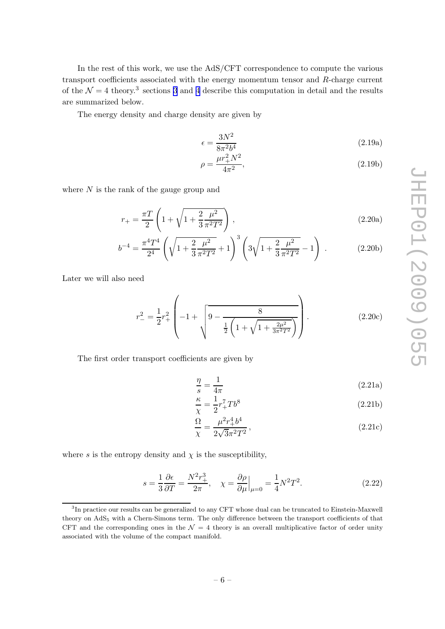<span id="page-8-0"></span>In the rest of this work, we use the AdS/CFT correspondence to compute the various transport coefficients associated with the energy momentum tensor and R-charge current of the  $\mathcal{N}=4$  theory.<sup>3</sup> sections [3](#page-10-0) and [4](#page-12-0) describe this computation in detail and the results are summarized below.

The energy density and charge density are given by

$$
\epsilon = \frac{3N^2}{8\pi^2 b^4} \tag{2.19a}
$$

$$
\rho = \frac{\mu r_+^2 N^2}{4\pi^2},\tag{2.19b}
$$

where  $N$  is the rank of the gauge group and

$$
r_{+} = \frac{\pi T}{2} \left( 1 + \sqrt{1 + \frac{2}{3} \frac{\mu^2}{\pi^2 T^2}} \right),
$$
\n(2.20a)

$$
b^{-4} = \frac{\pi^4 T^4}{2^4} \left( \sqrt{1 + \frac{2}{3} \frac{\mu^2}{\pi^2 T^2}} + 1 \right)^3 \left( 3 \sqrt{1 + \frac{2}{3} \frac{\mu^2}{\pi^2 T^2}} - 1 \right) . \tag{2.20b}
$$

Later we will also need

$$
r_{-}^{2} = \frac{1}{2}r_{+}^{2} \left(-1 + \sqrt{9 - \frac{8}{\frac{1}{2}\left(1 + \sqrt{1 + \frac{2\mu^{2}}{3\pi^{2}T^{2}}}\right)}}\right).
$$
 (2.20c)

The first order transport coefficients are given by

$$
\frac{\eta}{s} = \frac{1}{4\pi} \tag{2.21a}
$$

$$
\frac{\kappa}{\chi} = \frac{1}{2}r_+^7 T b^8 \tag{2.21b}
$$

$$
\frac{\Omega}{\chi} = \frac{\mu^2 r_+^4 b^4}{2\sqrt{3}\pi^2 T^2},\tag{2.21c}
$$

where s is the entropy density and  $\chi$  is the susceptibility,

$$
s = \frac{1}{3} \frac{\partial \epsilon}{\partial T} = \frac{N^2 r_+^3}{2\pi}, \quad \chi = \frac{\partial \rho}{\partial \mu} \Big|_{\mu=0} = \frac{1}{4} N^2 T^2.
$$
 (2.22)

<sup>&</sup>lt;sup>3</sup>In practice our results can be generalized to any CFT whose dual can be truncated to Einstein-Maxwell theory on AdS<sup>5</sup> with a Chern-Simons term. The only difference between the transport coefficients of that CFT and the corresponding ones in the  $\mathcal{N}=4$  theory is an overall multiplicative factor of order unity associated with the volume of the compact manifold.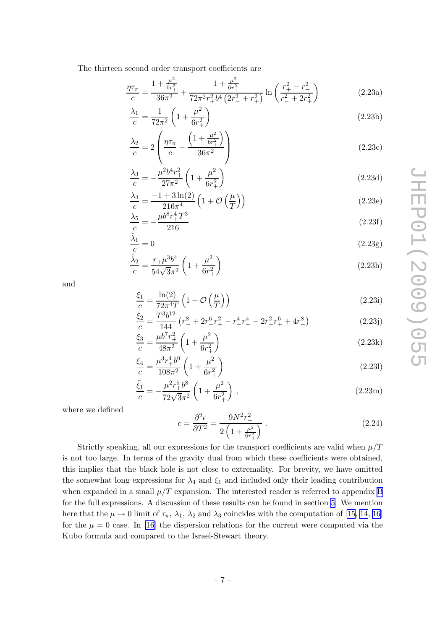<span id="page-9-0"></span>The thirteen second order transport coefficients are

$$
\frac{\eta \tau_{\pi}}{c} = \frac{1 + \frac{\mu^2}{6r_+^2}}{36\pi^2} + \frac{1 + \frac{\mu^2}{6r_+^2}}{72\pi^2 r_+^2 b^4 \left(2r_-^2 + r_+^2\right)} \ln\left(\frac{r_+^2 - r_-^2}{r_-^2 + 2r_+^2}\right) \tag{2.23a}
$$

$$
\frac{\lambda_1}{c} = \frac{1}{72\pi^2} \left( 1 + \frac{\mu^2}{6r_+^2} \right) \tag{2.23b}
$$

$$
\frac{\lambda_2}{c} = 2\left(\frac{\eta\tau_\pi}{c} - \frac{\left(1 + \frac{\mu^2}{6r_+^2}\right)}{36\pi^2}\right) \tag{2.23c}
$$

$$
\frac{\lambda_3}{c} = -\frac{\mu^2 b^4 r_+^2}{27\pi^2} \left( 1 + \frac{\mu^2}{6r_+^2} \right) \tag{2.23d}
$$

$$
\frac{\lambda_4}{c} = \frac{-1 + 3\ln(2)}{216\pi^4} \left(1 + \mathcal{O}\left(\frac{\mu}{T}\right)\right)
$$
\n(2.23e)

$$
\frac{\lambda_5}{c} = -\frac{\mu b^8 r_+^4 T^3}{216} \tag{2.23f}
$$

$$
\frac{\tilde{\lambda}_1}{c} = 0\tag{2.23g}
$$

$$
\frac{\tilde{\lambda}_2}{c} = \frac{r + \mu^3 b^4}{54\sqrt{3}\pi^2} \left(1 + \frac{\mu^2}{6r_+^2}\right)
$$
\n(2.23h)

and

$$
\frac{\xi_1}{c} = \frac{\ln(2)}{72\pi^4 T} \left( 1 + \mathcal{O}\left(\frac{\mu}{T}\right) \right) \tag{2.23i}
$$

$$
\frac{\xi_2}{c} = \frac{T^3 b^{12}}{144} \left( r_-^8 + 2r_-^6 r_+^2 - r_-^4 r_+^4 - 2r_-^2 r_+^6 + 4r_+^8 \right) \tag{2.23j}
$$

$$
\frac{\xi_3}{c} = \frac{\mu b^7 r_+^2}{48\pi^2} \left( 1 + \frac{\mu^2}{6r_+^2} \right) \tag{2.23k}
$$

$$
\frac{\xi_4}{c} = \frac{\mu^3 r_+^4 b^9}{108\pi^2} \left( 1 + \frac{\mu^2}{6r_+^2} \right) \tag{2.231}
$$

$$
\frac{\tilde{\xi}_1}{c} = -\frac{\mu^2 r_+^5 b^8}{72\sqrt{3}\pi^2} \left(1 + \frac{\mu^2}{6r_+^2}\right),\tag{2.23m}
$$

where we defined

$$
c = \frac{\partial^2 \epsilon}{\partial T^2} = \frac{9N^2r_+^2}{2\left(1 + \frac{\mu^2}{6r_+^2}\right)}\,. \tag{2.24}
$$

Strictly speaking, all our expressions for the transport coefficients are valid when  $\mu/T$ is not too large. In terms of the gravity dual from which these coefficients were obtained, this implies that the black hole is not close to extremality. For brevity, we have omitted the somewhat long expressions for  $\lambda_4$  and  $\xi_1$  and included only their leading contribution when expanded in a small  $\mu/T$  expansion. The interested reader is referred to appendix [B](#page-22-0) for the full expressions. A discussion of these results can be found in section [5.](#page-18-0) We mention here that the  $\mu \to 0$  limit of  $\tau_{\pi}$ ,  $\lambda_1$ ,  $\lambda_2$  and  $\lambda_3$  coincides with the computation of [\[15](#page-25-0), [14](#page-25-0), [16\]](#page-26-0) for the  $\mu = 0$  case. In [\[16](#page-26-0)] the dispersion relations for the current were computed via the Kubo formula and compared to the Israel-Stewart theory.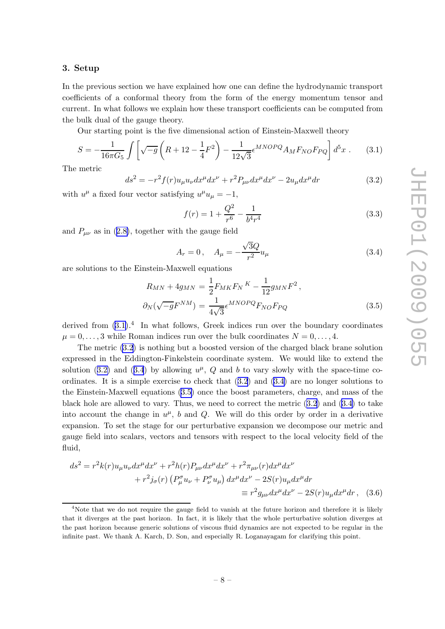#### <span id="page-10-0"></span>3. Setup

In the previous section we have explained how one can define the hydrodynamic transport coefficients of a conformal theory from the form of the energy momentum tensor and current. In what follows we explain how these transport coefficients can be computed from the bulk dual of the gauge theory.

Our starting point is the five dimensional action of Einstein-Maxwell theory

$$
S = -\frac{1}{16\pi G_5} \int \left[ \sqrt{-g} \left( R + 12 - \frac{1}{4} F^2 \right) - \frac{1}{12\sqrt{3}} \epsilon^{MNOPQ} A_M F_{NO} F_{PQ} \right] d^5 x \ . \tag{3.1}
$$

The metric

$$
ds^{2} = -r^{2} f(r) u_{\mu} u_{\nu} dx^{\mu} dx^{\nu} + r^{2} P_{\mu\nu} dx^{\mu} dx^{\nu} - 2u_{\mu} dx^{\mu} dr \qquad (3.2)
$$

with  $u^{\mu}$  a fixed four vector satisfying  $u^{\mu}u_{\mu} = -1$ ,

$$
f(r) = 1 + \frac{Q^2}{r^6} - \frac{1}{b^4 r^4}
$$
\n(3.3)

and  $P_{\mu\nu}$  as in ([2.8\)](#page-6-0), together with the gauge field

$$
A_r = 0, \quad A_\mu = -\frac{\sqrt{3}Q}{r^2}u_\mu \tag{3.4}
$$

are solutions to the Einstein-Maxwell equations

$$
R_{MN} + 4g_{MN} = \frac{1}{2} F_{MK} F_N{}^K - \frac{1}{12} g_{MN} F^2 ,
$$
  

$$
\partial_N(\sqrt{-g} F^{NM}) = \frac{1}{4\sqrt{3}} \epsilon^{M N O P Q} F_{NO} F_{PQ}
$$
 (3.5)

derived from  $(3.1).<sup>4</sup>$  In what follows, Greek indices run over the boundary coordinates  $\mu = 0, \ldots, 3$  while Roman indices run over the bulk coordinates  $N = 0, \ldots, 4$ .

The metric (3.2) is nothing but a boosted version of the charged black brane solution expressed in the Eddington-Finkelstein coordinate system. We would like to extend the solution (3.2) and (3.4) by allowing  $u^{\mu}$ , Q and b to vary slowly with the space-time coordinates. It is a simple exercise to check that  $(3.2)$  and  $(3.4)$  are no longer solutions to the Einstein-Maxwell equations (3.5) once the boost parameters, charge, and mass of the black hole are allowed to vary. Thus, we need to correct the metric  $(3.2)$  and  $(3.4)$  to take into account the change in  $u^{\mu}$ , b and Q. We will do this order by order in a derivative expansion. To set the stage for our perturbative expansion we decompose our metric and gauge field into scalars, vectors and tensors with respect to the local velocity field of the fluid,

$$
ds^{2} = r^{2}k(r)u_{\mu}u_{\nu}dx^{\mu}dx^{\nu} + r^{2}h(r)P_{\mu\nu}dx^{\mu}dx^{\nu} + r^{2}\pi_{\mu\nu}(r)dx^{\mu}dx^{\nu}
$$

$$
+ r^{2}j_{\sigma}(r)\left(P_{\mu}^{\sigma}u_{\nu} + P_{\nu}^{\sigma}u_{\mu}\right)dx^{\mu}dx^{\nu} - 2S(r)u_{\mu}dx^{\mu}dr
$$

$$
\equiv r^{2}g_{\mu\nu}dx^{\mu}dx^{\nu} - 2S(r)u_{\mu}dx^{\mu}dr, \quad (3.6)
$$

<sup>&</sup>lt;sup>4</sup>Note that we do not require the gauge field to vanish at the future horizon and therefore it is likely that it diverges at the past horizon. In fact, it is likely that the whole perturbative solution diverges at the past horizon because generic solutions of viscous fluid dynamics are not expected to be regular in the infinite past. We thank A. Karch, D. Son, and especially R. Loganayagam for clarifying this point.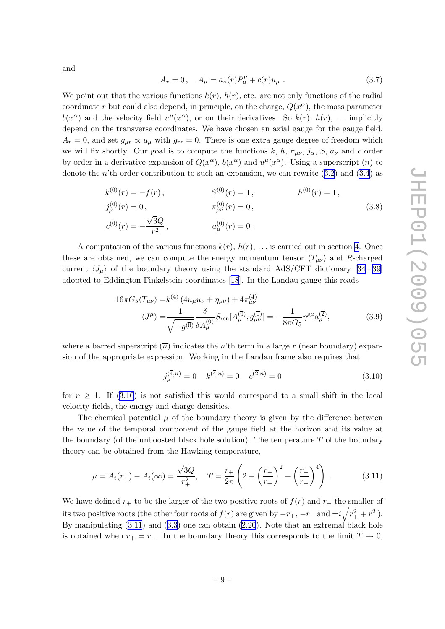<span id="page-11-0"></span>and

$$
A_r = 0, \quad A_\mu = a_\nu(r) P_\mu^\nu + c(r) u_\mu \ . \tag{3.7}
$$

We point out that the various functions  $k(r)$ ,  $h(r)$ , etc. are not only functions of the radial coordinate r but could also depend, in principle, on the charge,  $Q(x^{\alpha})$ , the mass parameter  $b(x^{\alpha})$  and the velocity field  $u^{\mu}(x^{\alpha})$ , or on their derivatives. So  $k(r)$ ,  $h(r)$ , ... implicitly depend on the transverse coordinates. We have chosen an axial gauge for the gauge field,  $A_r = 0$ , and set  $g_{\mu r} \propto u_{\mu}$  with  $g_{rr} = 0$ . There is one extra gauge degree of freedom which we will fix shortly. Our goal is to compute the functions k, h,  $\pi_{\mu\nu}$ ,  $j_{\alpha}$ , S,  $a_{\nu}$  and c order by order in a derivative expansion of  $Q(x^{\alpha})$ ,  $b(x^{\alpha})$  and  $u^{\mu}(x^{\alpha})$ . Using a superscript  $(n)$  to denote the n'th order contribution to such an expansion, we can rewrite  $(3.2)$  $(3.2)$  $(3.2)$  and  $(3.4)$  $(3.4)$  as

$$
k^{(0)}(r) = -f(r), \qquad S^{(0)}(r) = 1, \qquad h^{(0)}(r) = 1, \nj_{\mu}^{(0)}(r) = 0, \qquad \pi_{\mu\nu}^{(0)}(r) = 0, \n c^{(0)}(r) = -\frac{\sqrt{3}Q}{r^2}, \qquad a_{\mu}^{(0)}(r) = 0.
$$
\n(3.8)

A computation of the various functions  $k(r)$ ,  $h(r)$ , ... is carried out in section [4.](#page-12-0) Once these are obtained, we can compute the energy momentum tensor  $\langle T_{\mu\nu} \rangle$  and R-charged current $\langle J_\mu \rangle$  of the boundary theory using the standard AdS/CFT dictionary [[34](#page-26-0) – [39\]](#page-27-0) adopted to Eddington-Finkelstein coordinates[[18](#page-26-0)]. In the Landau gauge this reads

$$
16\pi G_5 \langle T_{\mu\nu} \rangle = k^{(4)} (4u_\mu u_\nu + \eta_{\mu\nu}) + 4\pi^{(4)}_{\mu\nu} \n\langle J^\mu \rangle = \frac{1}{\sqrt{-g^{(0)}}} \frac{\delta}{\delta A_\mu^{(0)}} S_{\text{ren}}[A_\mu^{(0)}, g_{\mu\nu}^{(0)}] = -\frac{1}{8\pi G_5} \eta^{\rho\mu} a_\rho^{(2)},
$$
\n(3.9)

where a barred superscript  $\overline{n}$ ) indicates the n'th term in a large r (near boundary) expansion of the appropriate expression. Working in the Landau frame also requires that

$$
j_{\mu}^{(\overline{4},n)} = 0 \quad k^{(\overline{4},n)} = 0 \quad c^{(\overline{2},n)} = 0 \tag{3.10}
$$

for  $n \geq 1$ . If (3.10) is not satisfied this would correspond to a small shift in the local velocity fields, the energy and charge densities.

The chemical potential  $\mu$  of the boundary theory is given by the difference between the value of the temporal component of the gauge field at the horizon and its value at the boundary (of the unboosted black hole solution). The temperature  $T$  of the boundary theory can be obtained from the Hawking temperature,

$$
\mu = A_t(r_+) - A_t(\infty) = \frac{\sqrt{3}Q}{r_+^2}, \quad T = \frac{r_+}{2\pi} \left( 2 - \left(\frac{r_-}{r_+}\right)^2 - \left(\frac{r_-}{r_+}\right)^4 \right) \,. \tag{3.11}
$$

We have defined  $r_+$  to be the larger of the two positive roots of  $f(r)$  and  $r_-\,$  the smaller of its two positive roots (the other four roots of  $f(r)$  are given by  $-r_+$ ,  $-r_-$  and  $\pm i\sqrt{r_+^2+r_-^2}$ ). By manipulating (3.11) and ([3.3](#page-10-0)) one can obtain [\(2.20](#page-8-0)). Note that an extremal black hole is obtained when  $r_{+} = r_{-}$ . In the boundary theory this corresponds to the limit  $T \rightarrow 0$ ,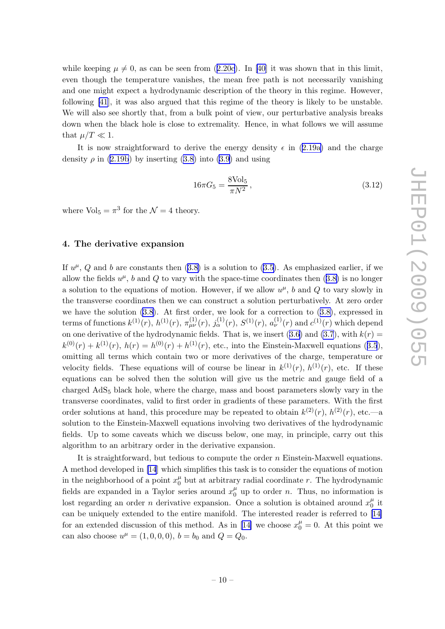<span id="page-12-0"></span>while keeping  $\mu \neq 0$ , as can be seen from ([2.20c\)](#page-8-0). In [\[40\]](#page-27-0) it was shown that in this limit, even though the temperature vanishes, the mean free path is not necessarily vanishing and one might expect a hydrodynamic description of the theory in this regime. However, following [\[41](#page-27-0)], it was also argued that this regime of the theory is likely to be unstable. We will also see shortly that, from a bulk point of view, our perturbative analysis breaks down when the black hole is close to extremality. Hence, in what follows we will assume that  $\mu/T \ll 1$ .

It is now straightforward to derive the energy density  $\epsilon$  in [\(2.19a\)](#page-8-0) and the charge density  $\rho$  in [\(2.19b](#page-8-0)) by inserting [\(3.8\)](#page-11-0) into [\(3.9](#page-11-0)) and using

$$
16\pi G_5 = \frac{8\text{Vol}_5}{\pi N^2},\tag{3.12}
$$

where  $\text{Vol}_5 = \pi^3$  for the  $\mathcal{N} = 4$  theory.

#### 4. The derivative expansion

If  $u^{\mu}$ , Q and b are constants then  $(3.8)$  $(3.8)$  is a solution to  $(3.5)$ . As emphasized earlier, if we allow the fields  $u^{\mu}$ , b and Q to vary with the space-time coordinates then  $(3.8)$  is no longer a solution to the equations of motion. However, if we allow  $u^{\mu}$ , b and Q to vary slowly in the transverse coordinates then we can construct a solution perturbatively. At zero order we have the solution  $(3.8)$ . At first order, we look for a correction to  $(3.8)$  $(3.8)$ , expressed in terms of functions  $k^{(1)}(r)$ ,  $h^{(1)}(r)$ ,  $\pi_{\mu\nu}^{(1)}(r)$ ,  $j_{\alpha}^{(1)}(r)$ ,  $S^{(1)}(r)$ ,  $a_{\nu}^{(1)}(r)$  and  $c^{(1)}(r)$  which depend on one derivative of the hydrodynamic fields. That is, we insert ([3.6\)](#page-10-0) and [\(3.7](#page-11-0)), with  $k(r)$  =  $k^{(0)}(r) + k^{(1)}(r)$ ,  $h(r) = h^{(0)}(r) + h^{(1)}(r)$ , etc., into the Einstein-Maxwell equations ([3.5](#page-10-0)), omitting all terms which contain two or more derivatives of the charge, temperature or velocity fields. These equations will of course be linear in  $k^{(1)}(r)$ ,  $h^{(1)}(r)$ , etc. If these equations can be solved then the solution will give us the metric and gauge field of a charged  $AdS<sub>5</sub>$  black hole, where the charge, mass and boost parameters slowly vary in the transverse coordinates, valid to first order in gradients of these parameters. With the first order solutions at hand, this procedure may be repeated to obtain  $k^{(2)}(r)$ ,  $h^{(2)}(r)$ , etc.—a solution to the Einstein-Maxwell equations involving two derivatives of the hydrodynamic fields. Up to some caveats which we discuss below, one may, in principle, carry out this algorithm to an arbitrary order in the derivative expansion.

It is straightforward, but tedious to compute the order n Einstein-Maxwell equations. A method developed in [\[14](#page-25-0)] which simplifies this task is to consider the equations of motion in the neighborhood of a point  $x_0^{\mu}$  $\frac{\mu}{0}$  but at arbitrary radial coordinate r. The hydrodynamic fields are expanded in a Taylor series around  $x_0^{\mu}$  $\frac{\mu}{0}$  up to order *n*. Thus, no information is lost regarding an order *n* derivative expansion. Once a solution is obtained around  $x_0^{\mu}$  $\frac{\mu}{0}$  it can be uniquely extended to the entire manifold. The interested reader is referred to [\[14\]](#page-25-0) for an extended discussion of this method. As in [\[14\]](#page-25-0) we choose  $x_0^{\mu} = 0$ . At this point we can also choose  $u^{\mu} = (1, 0, 0, 0), b = b_0$  and  $Q = Q_0$ .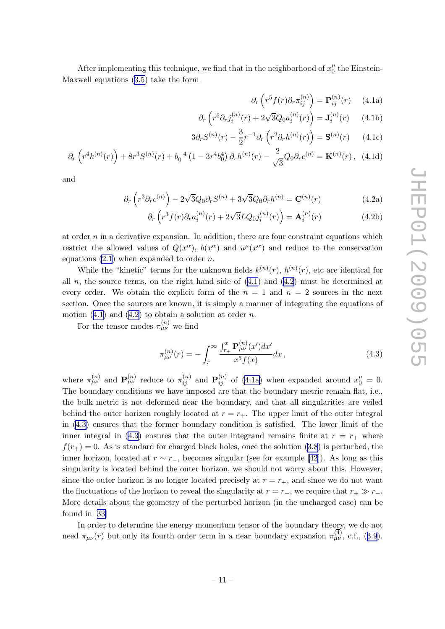<span id="page-13-0"></span>After implementing this technique, we find that in the neighborhood of  $x_0^{\mu}$  $_0^{\mu}$  the Einstein-Maxwell equations ([3.5\)](#page-10-0) take the form

$$
\partial_r \left( r^5 f(r) \partial_r \pi_{ij}^{(n)} \right) = \mathbf{P}_{ij}^{(n)}(r) \qquad (4.1a)
$$

$$
\partial_r \left( r^5 \partial_r j_i^{(n)}(r) + 2\sqrt{3} Q_0 a_i^{(n)}(r) \right) = \mathbf{J}_i^{(n)}(r) \qquad (4.1b)
$$

$$
3\partial_r S^{(n)}(r) - \frac{3}{2}r^{-1}\partial_r \left(r^2 \partial_r h^{(n)}(r)\right) = \mathbf{S}^{(n)}(r) \qquad (4.1c)
$$

$$
\partial_r \left( r^4 k^{(n)}(r) \right) + 8r^3 S^{(n)}(r) + b_0^{-4} \left( 1 - 3r^4 b_0^4 \right) \partial_r h^{(n)}(r) - \frac{2}{\sqrt{3}} Q_0 \partial_r c^{(n)} = \mathbf{K}^{(n)}(r) \,, \tag{4.1d}
$$

and

$$
\partial_r \left( r^3 \partial_r c^{(n)} \right) - 2\sqrt{3} Q_0 \partial_r S^{(n)} + 3\sqrt{3} Q_0 \partial_r h^{(n)} = \mathbf{C}^{(n)}(r) \tag{4.2a}
$$

$$
\partial_r \left( r^3 f(r) \partial_r a_i^{(n)}(r) + 2\sqrt{3} L Q_0 j_i^{(n)}(r) \right) = \mathbf{A}_i^{(n)}(r) \tag{4.2b}
$$

at order  $n$  in a derivative expansion. In addition, there are four constraint equations which restrict the allowed values of  $Q(x^{\alpha})$ ,  $b(x^{\alpha})$  and  $u^{\mu}(x^{\alpha})$  and reduce to the conservation equations  $(2.1)$  $(2.1)$  when expanded to order *n*.

While the "kinetic" terms for the unknown fields  $k^{(n)}(r)$ ,  $h^{(n)}(r)$ , etc are identical for all  $n$ , the source terms, on the right hand side of  $(4.1)$  and  $(4.2)$  must be determined at every order. We obtain the explicit form of the  $n = 1$  and  $n = 2$  sources in the next section. Once the sources are known, it is simply a manner of integrating the equations of motion  $(4.1)$  and  $(4.2)$  to obtain a solution at order n.

For the tensor modes  $\pi_{\mu\nu}^{(n)}$  we find

$$
\pi_{\mu\nu}^{(n)}(r) = -\int_r^{\infty} \frac{\int_{r_+}^x \mathbf{P}_{\mu\nu}^{(n)}(x')dx'}{x^5 f(x)} dx , \qquad (4.3)
$$

where  $\pi_{\mu\nu}^{(n)}$  and  $\mathbf{P}_{\mu\nu}^{(n)}$  reduce to  $\pi_{ij}^{(n)}$  and  $\mathbf{P}_{ij}^{(n)}$  of (4.1a) when expanded around  $x_0^{\mu} = 0$ . The boundary conditions we have imposed are that the boundary metric remain flat, i.e., the bulk metric is not deformed near the boundary, and that all singularities are veiled behind the outer horizon roughly located at  $r = r_{+}$ . The upper limit of the outer integral in (4.3) ensures that the former boundary condition is satisfied. The lower limit of the inner integral in (4.3) ensures that the outer integrand remains finite at  $r = r_{+}$  where  $f(r_{+}) = 0$ . As is standard for charged black holes, once the solution [\(3.8](#page-11-0)) is perturbed, the inner horizon, located at  $r \sim r_+$ , becomes singular (see for example [\[42\]](#page-27-0)). As long as this singularity is located behind the outer horizon, we should not worry about this. However, since the outer horizon is no longer located precisely at  $r = r_{+}$ , and since we do not want the fluctuations of the horizon to reveal the singularity at  $r = r_-\,$ , we require that  $r_+\gg r_-\,$ . More details about the geometry of the perturbed horizon (in the uncharged case) can be found in[[33\]](#page-26-0)

In order to determine the energy momentum tensor of the boundary theory, we do not need  $\pi_{\mu\nu}(r)$  but only its fourth order term in a near boundary expansion  $\pi_{\mu\nu}^{(4)}$ , c.f., ([3.9](#page-11-0)).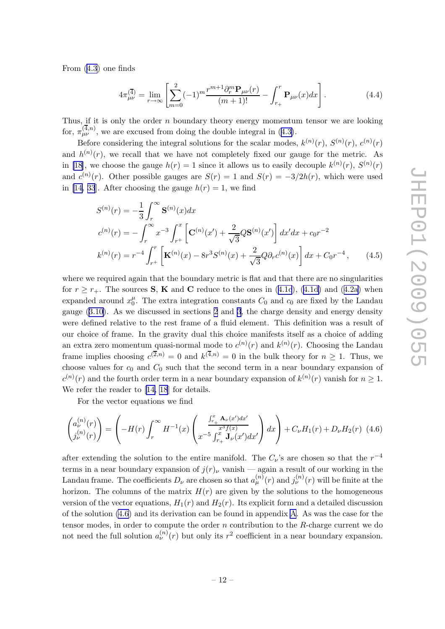<span id="page-14-0"></span>From [\(4.3\)](#page-13-0) one finds

$$
4\pi_{\mu\nu}^{(4)} = \lim_{r \to \infty} \left[ \sum_{m=0}^{2} (-1)^m \frac{r^{m+1} \partial_r^m \mathbf{P}_{\mu\nu}(r)}{(m+1)!} - \int_{r_+}^r \mathbf{P}_{\mu\nu}(x) dx \right]. \tag{4.4}
$$

Thus, if it is only the order  $n$  boundary theory energy momentum tensor we are looking for,  $\pi_{\mu\nu}^{(\bar{4},n)}$ , we are excused from doing the double integral in ([4.3\)](#page-13-0).

Before considering the integral solutions for the scalar modes,  $k^{(n)}(r)$ ,  $S^{(n)}(r)$ ,  $c^{(n)}(r)$ and  $h^{(n)}(r)$ , we recall that we have not completely fixed our gauge for the metric. As in [\[18](#page-26-0)], we choose the gauge  $h(r) = 1$  since it allows us to easily decouple  $k^{(n)}(r)$ ,  $S^{(n)}(r)$ and  $c^{(n)}(r)$ . Other possible gauges are  $S(r) = 1$  and  $S(r) = -3/2h(r)$ , which were used in [\[14,](#page-25-0) [33](#page-26-0)]. After choosing the gauge  $h(r) = 1$ , we find

$$
S^{(n)}(r) = -\frac{1}{3} \int_{r}^{\infty} \mathbf{S}^{(n)}(x) dx
$$
  
\n
$$
c^{(n)}(r) = -\int_{r}^{\infty} x^{-3} \int_{r^{+}}^{x} \left[ \mathbf{C}^{(n)}(x') + \frac{2}{\sqrt{3}} Q \mathbf{S}^{(n)}(x') \right] dx' dx + c_0 r^{-2}
$$
  
\n
$$
k^{(n)}(r) = r^{-4} \int_{r^{+}}^{r} \left[ \mathbf{K}^{(n)}(x) - 8r^{3} S^{(n)}(x) + \frac{2}{\sqrt{3}} Q \partial_{r} c^{(n)}(x) \right] dx + C_0 r^{-4}, \qquad (4.5)
$$

where we required again that the boundary metric is flat and that there are no singularities for  $r \ge r_+$ . The sources **S**, **K** and **C** reduce to the ones in ([4.1c](#page-13-0)), [\(4.1d\)](#page-13-0) and ([4.2a\)](#page-13-0) when expanded around  $x_0^{\mu}$  $\mu_0^{\mu}$ . The extra integration constants  $C_0$  and  $c_0$  are fixed by the Landau gauge ([3.10](#page-11-0)). As we discussed in sections [2](#page-5-0) and [3](#page-10-0), the charge density and energy density were defined relative to the rest frame of a fluid element. This definition was a result of our choice of frame. In the gravity dual this choice manifests itself as a choice of adding an extra zero momentum quasi-normal mode to  $c^{(n)}(r)$  and  $k^{(n)}(r)$ . Choosing the Landau frame implies choosing  $c^{(2,n)} = 0$  and  $k^{(4,n)} = 0$  in the bulk theory for  $n \ge 1$ . Thus, we choose values for  $c_0$  and  $C_0$  such that the second term in a near boundary expansion of  $c^{(n)}(r)$  and the fourth order term in a near boundary expansion of  $k^{(n)}(r)$  vanish for  $n \geq 1$ . Werefer the reader to [[14,](#page-25-0) [18](#page-26-0)] for details.

For the vector equations we find

$$
\begin{pmatrix} a_{\nu}^{(n)}(r) \\ j_{\nu}^{(n)}(r) \end{pmatrix} = \left( -H(r) \int_{r}^{\infty} H^{-1}(x) \left( \frac{\int_{r_+}^{x} \mathbf{A}_{\nu}(x') dx'}{x^{-5} \int_{r_+}^{x} \mathbf{J}_{\nu}(x') dx'} \right) dx \right) + C_{\nu} H_{1}(r) + D_{\nu} H_{2}(r) \tag{4.6}
$$

after extending the solution to the entire manifold. The  $C_{\nu}$ 's are chosen so that the  $r^{-4}$ terms in a near boundary expansion of  $j(r)<sub>\nu</sub>$  vanish — again a result of our working in the Landau frame. The coefficients  $D_{\nu}$  are chosen so that  $a_{\mu}^{(n)}(r)$  and  $j_{\nu}^{(n)}(r)$  will be finite at the horizon. The columns of the matrix  $H(r)$  are given by the solutions to the homogeneous version of the vector equations,  $H_1(r)$  and  $H_2(r)$ . Its explicit form and a detailed discussion of the solution (4.6) and its derivation can be found in appendix [A](#page-20-0). As was the case for the tensor modes, in order to compute the order  $n$  contribution to the  $R$ -charge current we do not need the full solution  $a_{\nu}^{(n)}(r)$  but only its  $r^2$  coefficient in a near boundary expansion.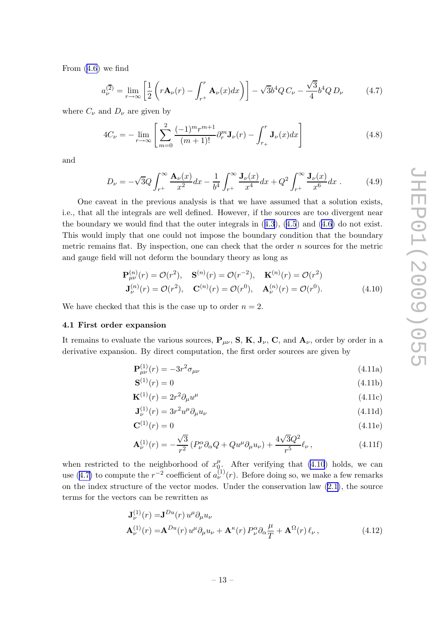<span id="page-15-0"></span>From [\(4.6\)](#page-14-0) we find

$$
a_{\nu}^{(2)} = \lim_{r \to \infty} \left[ \frac{1}{2} \left( r \mathbf{A}_{\nu}(r) - \int_{r^{+}}^{r} \mathbf{A}_{\nu}(x) dx \right) \right] - \sqrt{3} b^{4} Q C_{\nu} - \frac{\sqrt{3}}{4} b^{4} Q D_{\nu}
$$
 (4.7)

where  $C_{\nu}$  and  $D_{\nu}$  are given by

$$
4C_{\nu} = -\lim_{r \to \infty} \left[ \sum_{m=0}^{2} \frac{(-1)^m r^{m+1}}{(m+1)!} \partial_r^m \mathbf{J}_{\nu}(r) - \int_{r_+}^r \mathbf{J}_{\nu}(x) dx \right]
$$
(4.8)

and

$$
D_{\nu} = -\sqrt{3}Q \int_{r^{+}}^{\infty} \frac{\mathbf{A}_{\nu}(x)}{x^{2}} dx - \frac{1}{b^{4}} \int_{r^{+}}^{\infty} \frac{\mathbf{J}_{\nu}(x)}{x^{4}} dx + Q^{2} \int_{r^{+}}^{\infty} \frac{\mathbf{J}_{\nu}(x)}{x^{6}} dx . \tag{4.9}
$$

One caveat in the previous analysis is that we have assumed that a solution exists, i.e., that all the integrals are well defined. However, if the sources are too divergent near the boundary we would find that the outer integrals in  $(4.3)$  $(4.3)$  $(4.3)$ ,  $(4.5)$  $(4.5)$  $(4.5)$  and  $(4.6)$  do not exist. This would imply that one could not impose the boundary condition that the boundary metric remains flat. By inspection, one can check that the order  $n$  sources for the metric and gauge field will not deform the boundary theory as long as

$$
\mathbf{P}_{\mu\nu}^{(n)}(r) = \mathcal{O}(r^2), \quad \mathbf{S}^{(n)}(r) = \mathcal{O}(r^{-2}), \quad \mathbf{K}^{(n)}(r) = \mathcal{O}(r^2)
$$
  

$$
\mathbf{J}_{\nu}^{(n)}(r) = \mathcal{O}(r^2), \quad \mathbf{C}^{(n)}(r) = \mathcal{O}(r^0), \quad \mathbf{A}_{\nu}^{(n)}(r) = \mathcal{O}(r^0). \tag{4.10}
$$

We have checked that this is the case up to order  $n = 2$ .

#### 4.1 First order expansion

It remains to evaluate the various sources,  $P_{\mu\nu}$ , S, K, J<sub>v</sub>, C, and  $A_{\nu}$ , order by order in a derivative expansion. By direct computation, the first order sources are given by

$$
\mathbf{P}_{\mu\nu}^{(1)}(r) = -3r^2 \sigma_{\mu\nu} \tag{4.11a}
$$

$$
\mathbf{S}^{(1)}(r) = 0 \tag{4.11b}
$$

$$
\mathbf{K}^{(1)}(r) = 2r^2 \partial_\mu u^\mu \tag{4.11c}
$$

$$
\mathbf{J}_{\nu}^{(1)}(r) = 3r^2 u^{\mu} \partial_{\mu} u_{\nu}
$$
\n
$$
(4.11d)
$$

$$
\mathbf{C}^{(1)}(r) = 0\tag{4.11e}
$$

$$
\mathbf{A}_{\nu}^{(1)}(r) = -\frac{\sqrt{3}}{r^2} \left( P_{\nu}^{\alpha} \partial_{\alpha} Q + Q u^{\mu} \partial_{\mu} u_{\nu} \right) + \frac{4\sqrt{3}Q^2}{r^5} \ell_{\nu} , \qquad (4.11f)
$$

when restricted to the neighborhood of  $x_0^{\mu}$  $\int_{0}^{\mu}$ . After verifying that (4.10) holds, we can use (4.7) to compute the  $r^{-2}$  coefficient of  $a_{\nu}^{(1)}(r)$ . Before doing so, we make a few remarks on the index structure of the vector modes. Under the conservation law ([2.1\)](#page-5-0), the source terms for the vectors can be rewritten as

$$
\mathbf{J}_{\nu}^{(1)}(r) = \mathbf{J}^{Du}(r) u^{\mu} \partial_{\mu} u_{\nu}
$$
  
\n
$$
\mathbf{A}_{\nu}^{(1)}(r) = \mathbf{A}^{Du}(r) u^{\mu} \partial_{\mu} u_{\nu} + \mathbf{A}^{\kappa}(r) P_{\nu}^{\alpha} \partial_{\alpha} \frac{\mu}{T} + \mathbf{A}^{\Omega}(r) \ell_{\nu},
$$
\n(4.12)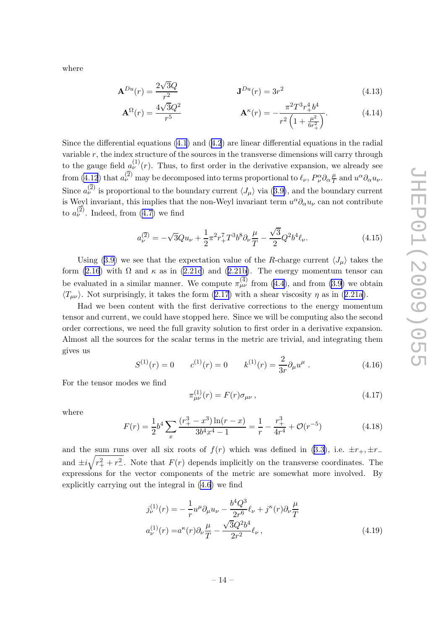<span id="page-16-0"></span>where

$$
\mathbf{A}^{Du}(r) = \frac{2\sqrt{3}Q}{r^2} \qquad \qquad \mathbf{J}^{Du}(r) = 3r^2 \qquad (4.13)
$$

$$
\mathbf{A}^{\Omega}(r) = \frac{4\sqrt{3}Q^2}{r^5} \qquad \mathbf{A}^{\kappa}(r) = -\frac{\pi^2 T^3 r_+^4 b^4}{r^2 \left(1 + \frac{\mu^2}{6r_+^2}\right)}.\tag{4.14}
$$

Since the differential equations  $(4.1)$  $(4.1)$  and  $(4.2)$  $(4.2)$  $(4.2)$  are linear differential equations in the radial variable  $r$ , the index structure of the sources in the transverse dimensions will carry through to the gauge field  $a_{\nu}^{(1)}(r)$ . Thus, to first order in the derivative expansion, we already see from [\(4.12](#page-15-0)) that  $a_{\nu}^{(2)}$  may be decomposed into terms proportional to  $\ell_{\nu}, P^{\alpha}_{\nu} \partial_{\alpha} \frac{\mu}{T}$  $\frac{\mu}{T}$  and  $u^{\alpha} \partial_{\alpha} u_{\nu}$ . Since  $a_{\nu}^{(2)}$  is proportional to the boundary current  $\langle J_{\mu} \rangle$  via  $(3.9)$  $(3.9)$ , and the boundary current is Weyl invariant, this implies that the non-Weyl invariant term  $u^{\alpha}\partial_{\alpha}u_{\nu}$  can not contribute to  $a_{\nu}^{(2)}$ . Indeed, from [\(4.7\)](#page-15-0) we find

$$
a_{\nu}^{(2)} = -\sqrt{3}Qu_{\nu} + \frac{1}{2}\pi^2 r_+^7 T^3 b^8 \partial_{\nu} \frac{\mu}{T} - \frac{\sqrt{3}}{2} Q^2 b^4 \ell_{\nu}.
$$
 (4.15)

Using [\(3.9\)](#page-11-0) we see that the expectation value of the R-charge current  $\langle J_\mu \rangle$  takes the form [\(2.16](#page-7-0)) with  $\Omega$  and  $\kappa$  as in [\(2.21c](#page-8-0)) and ([2.21b\)](#page-8-0). The energy momentum tensor can be evaluated in a similar manner. We compute  $\pi_{\mu\nu}^{(4)}$  from [\(4.4](#page-14-0)), and from [\(3.9\)](#page-11-0) we obtain  $\langle T_{\mu\nu} \rangle$ . Not surprisingly, it takes the form ([2.17](#page-7-0)) with a shear viscosity  $\eta$  as in ([2.21a](#page-8-0)).

Had we been content with the first derivative corrections to the energy momentum tensor and current, we could have stopped here. Since we will be computing also the second order corrections, we need the full gravity solution to first order in a derivative expansion. Almost all the sources for the scalar terms in the metric are trivial, and integrating them gives us

$$
S^{(1)}(r) = 0 \t c^{(1)}(r) = 0 \t k^{(1)}(r) = \frac{2}{3r} \partial_{\mu} u^{\mu} . \t (4.16)
$$

For the tensor modes we find

$$
\pi_{\mu\nu}^{(1)}(r) = F(r)\sigma_{\mu\nu} \,, \tag{4.17}
$$

where

$$
F(r) = \frac{1}{2}b^4 \sum_{x} \frac{(r_+^3 - x^3) \ln(r - x)}{3b^4 x^4 - 1} = \frac{1}{r} - \frac{r_+^3}{4r^4} + \mathcal{O}(r^{-5})
$$
(4.18)

and the sum runs over all six roots of  $f(r)$  which was defined in ([3.3\)](#page-10-0), i.e.  $\pm r_+$ ,  $\pm r_$ and  $\pm i\sqrt{r_+^2 + r_-^2}$ . Note that  $F(r)$  depends implicitly on the transverse coordinates. The expressions for the vector components of the metric are somewhat more involved. By explicitly carrying out the integral in [\(4.6](#page-14-0)) we find

$$
j_{\nu}^{(1)}(r) = -\frac{1}{r}u^{\mu}\partial_{\mu}u_{\nu} - \frac{b^4 Q^3}{2r^6} \ell_{\nu} + j^{\kappa}(r)\partial_{\nu}\frac{\mu}{T}
$$
  

$$
a_{\nu}^{(1)}(r) = a^{\kappa}(r)\partial_{\nu}\frac{\mu}{T} - \frac{\sqrt{3}Q^2 b^4}{2r^2} \ell_{\nu},
$$
 (4.19)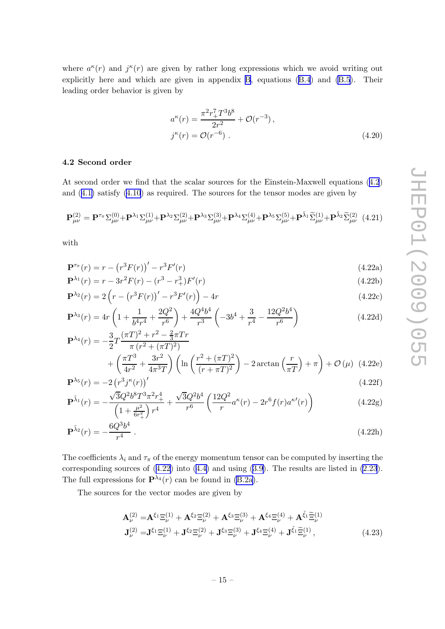<span id="page-17-0"></span>where  $a^{\kappa}(r)$  and  $j^{\kappa}(r)$  are given by rather long expressions which we avoid writing out explicitly here and which are given in appendix [B](#page-22-0), equations [\(B.4](#page-24-0)) and [\(B.5](#page-24-0)). Their leading order behavior is given by

$$
a^{\kappa}(r) = \frac{\pi^2 r_+^7 T^3 b^8}{2r^2} + \mathcal{O}(r^{-3}),
$$
  
\n
$$
j^{\kappa}(r) = \mathcal{O}(r^{-6}).
$$
\n(4.20)

#### 4.2 Second order

At second order we find that the scalar sources for the Einstein-Maxwell equations ([4.2](#page-13-0)) and ([4.1\)](#page-13-0) satisfy [\(4.10](#page-15-0)) as required. The sources for the tensor modes are given by

$$
\mathbf{P}^{(2)}_{\mu\nu} = \mathbf{P}^{\tau_{\pi}} \Sigma^{(0)}_{\mu\nu} + \mathbf{P}^{\lambda_1} \Sigma^{(1)}_{\mu\nu} + \mathbf{P}^{\lambda_2} \Sigma^{(2)}_{\mu\nu} + \mathbf{P}^{\lambda_3} \Sigma^{(3)}_{\mu\nu} + \mathbf{P}^{\lambda_4} \Sigma^{(4)}_{\mu\nu} + \mathbf{P}^{\lambda_5} \Sigma^{(5)}_{\mu\nu} + \mathbf{P}^{\tilde{\lambda}_1} \widetilde{\Sigma}^{(1)}_{\mu\nu} + \mathbf{P}^{\tilde{\lambda}_2} \widetilde{\Sigma}^{(2)}_{\mu\nu} \quad (4.21)
$$

with

$$
\mathbf{P}^{\tau_{\pi}}(r) = r - (r^3 F(r))' - r^3 F'(r)
$$
\n(4.22a)

$$
\mathbf{P}^{\lambda_1}(r) = r - 3r^2 F(r) - (r^3 - r_+^3)F'(r) \tag{4.22b}
$$

$$
\mathbf{P}^{\lambda_2}(r) = 2\left(r - \left(r^3 F(r)\right)' - r^3 F'(r)\right) - 4r\tag{4.22c}
$$

$$
\mathbf{P}^{\lambda_3}(r) = 4r \left( 1 + \frac{1}{b^4 r^4} + \frac{2Q^2}{r^6} \right) + \frac{4Q^4 b^4}{r^3} \left( -3b^4 + \frac{3}{r^4} - \frac{12Q^2 b^4}{r^6} \right)
$$
(4.22d)  

$$
\mathbf{P}^{\lambda_4}(\lambda) = \frac{3}{2\pi} (\pi T)^2 + r^2 - \frac{2}{3} \pi T r
$$

$$
\mathbf{P}^{\lambda_4}(r) = -\frac{3}{2}T \frac{(\pi T)^2 + r^2 - \frac{2}{3}\pi Tr}{\pi (r^2 + (\pi T)^2)} \n+ \left(\frac{\pi T^3}{4r^2} + \frac{3r^2}{4\pi^3 T}\right) \left(\ln\left(\frac{r^2 + (\pi T)^2}{(r + \pi T)^2}\right) - 2\arctan\left(\frac{r}{\pi T}\right) + \pi\right) + \mathcal{O}\left(\mu\right) \tag{4.22e}
$$

$$
\mathbf{P}^{\lambda_5}(r) = -2\left(r^3 j^{\kappa}(r)\right)'
$$
\n
$$
(\text{4.22f})
$$
\n
$$
(\text{4.22f})
$$

$$
\mathbf{P}^{\tilde{\lambda}_{1}}(r) = -\frac{\sqrt{3}Q^{2}b^{8}T^{3}\pi^{2}r_{+}^{4}}{\left(1+\frac{\mu^{2}}{6r_{+}^{2}}\right)r^{4}} + \frac{\sqrt{3}Q^{2}b^{4}}{r^{6}}\left(\frac{12Q^{2}}{r}a^{\kappa}(r) - 2r^{6}f(r)a^{\kappa}(r)\right)
$$
(4.22g)

$$
\mathbf{P}^{\tilde{\lambda}_2}(r) = -\frac{6Q^3b^4}{r^4} \ . \tag{4.22h}
$$

The coefficients  $\lambda_i$  and  $\tau_{\pi}$  of the energy momentum tensor can be computed by inserting the corresponding sources of (4.22) into [\(4.4\)](#page-14-0) and using [\(3.9\)](#page-11-0). The results are listed in [\(2.23](#page-9-0)). The full expressions for  $\mathbf{P}^{\lambda_4}(r)$  can be found in [\(B.2a\)](#page-23-0).

The sources for the vector modes are given by

$$
\mathbf{A}_{\nu}^{(2)} = \mathbf{A}^{\xi_1} \Xi_{\nu}^{(1)} + \mathbf{A}^{\xi_2} \Xi_{\nu}^{(2)} + \mathbf{A}^{\xi_3} \Xi_{\nu}^{(3)} + \mathbf{A}^{\xi_4} \Xi_{\nu}^{(4)} + \mathbf{A}^{\tilde{\xi}_1} \tilde{\Xi}_{\nu}^{(1)}
$$
  
\n
$$
\mathbf{J}_{\nu}^{(2)} = \mathbf{J}^{\xi_1} \Xi_{\nu}^{(1)} + \mathbf{J}^{\xi_2} \Xi_{\nu}^{(2)} + \mathbf{J}^{\xi_3} \Xi_{\nu}^{(3)} + \mathbf{J}^{\xi_4} \Xi_{\nu}^{(4)} + \mathbf{J}^{\tilde{\xi}_1} \tilde{\Xi}_{\nu}^{(1)},
$$
\n(4.23)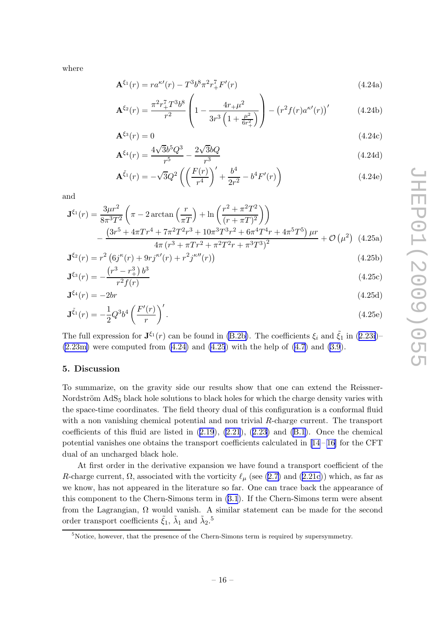<span id="page-18-0"></span>where

$$
\mathbf{A}^{\xi_1}(r) = r a^{\kappa \prime}(r) - T^3 b^8 \pi^2 r_+^7 F'(r)
$$
\n(4.24a)

$$
\mathbf{A}^{\xi_2}(r) = \frac{\pi^2 r_+^7 T^3 b^8}{r^2} \left( 1 - \frac{4r_+ \mu^2}{3r^3 \left( 1 + \frac{\mu^2}{6r_+^2} \right)} \right) - \left( r^2 f(r) a^{\kappa \prime}(r) \right) \tag{4.24b}
$$

$$
\mathbf{A}^{\xi_3}(r) = 0 \tag{4.24c}
$$

$$
\mathbf{A}^{\xi_4}(r) = \frac{4\sqrt{3}b^5 Q^3}{r^5} - \frac{2\sqrt{3}bQ}{r^3} \tag{4.24d}
$$

$$
\mathbf{A}^{\tilde{\xi}_1}(r) = -\sqrt{3}Q^2 \left( \left( \frac{F(r)}{r^4} \right)' + \frac{b^4}{2r^2} - b^4 F'(r) \right) \tag{4.24e}
$$

and

$$
\mathbf{J}^{\xi_1}(r) = \frac{3\mu r^2}{8\pi^3 T^2} \left( \pi - 2 \arctan\left(\frac{r}{\pi T}\right) + \ln\left(\frac{r^2 + \pi^2 T^2}{(r + \pi T)^2}\right) \right)
$$

$$
- \frac{\left(3r^5 + 4\pi T r^4 + 7\pi^2 T^2 r^3 + 10\pi^3 T^3 r^2 + 6\pi^4 T^4 r + 4\pi^5 T^5\right) \mu r}{4\pi \left(r^3 + \pi T r^2 + \pi^2 T^2 r + \pi^3 T^3\right)^2} + \mathcal{O}\left(\mu^2\right) \tag{4.25a}
$$

$$
\mathbf{J}^{\xi_2}(r) = r^2 \left( 6j^{\kappa}(r) + 9r j^{\kappa}(r) + r^2 j^{\kappa}''(r) \right)
$$
\n
$$
(4.25b)
$$
\n
$$
(r^3 - r^3) b^3
$$

$$
\mathbf{J}^{\xi_3}(r) = -\frac{\left(r^3 - r_+^3\right)b^3}{r^2 f(r)}\tag{4.25c}
$$

$$
\mathbf{J}^{\xi_4}(r) = -2br \tag{4.25d}
$$

$$
\mathbf{J}^{\tilde{\xi}_1}(r) = -\frac{1}{2}Q^3b^4 \left(\frac{F'(r)}{r}\right)'.
$$
\n(4.25e)

The full expression for  $\mathbf{J}^{\xi_1}(r)$  can be found in [\(B.2b\)](#page-23-0). The coefficients  $\xi_i$  and  $\tilde{\xi}_1$  in ([2.23i\)](#page-9-0)–  $(2.23m)$  were computed from  $(4.24)$  and  $(4.25)$  with the help of  $(4.7)$  $(4.7)$  and  $(3.9)$  $(3.9)$ .

#### 5. Discussion

To summarize, on the gravity side our results show that one can extend the Reissner-Nordström  $AdS_5$  black hole solutions to black holes for which the charge density varies with the space-time coordinates. The field theory dual of this configuration is a conformal fluid with a non vanishing chemical potential and non trivial  $R$ -charge current. The transport coefficients of this fluid are listed in  $(2.19)$  $(2.19)$ ,  $(2.21)$  $(2.21)$ ,  $(2.23)$  $(2.23)$  and  $(B.1)$  $(B.1)$ . Once the chemical potential vanishes one obtains the transport coefficients calculated in  $[14-16]$  for the CFT dual of an uncharged black hole.

At first order in the derivative expansion we have found a transport coefficient of the R-charge current,  $\Omega$ , associated with the vorticity  $\ell_{\mu}$  (see [\(2.7\)](#page-6-0) and [\(2.21c](#page-8-0))) which, as far as we know, has not appeared in the literature so far. One can trace back the appearance of this component to the Chern-Simons term in ([3.1](#page-10-0)). If the Chern-Simons term were absent from the Lagrangian,  $\Omega$  would vanish. A similar statement can be made for the second order transport coefficients  $\tilde{\xi}_1$ ,  $\tilde{\lambda}_1$  and  $\tilde{\lambda}_2$ .<sup>5</sup>

<sup>&</sup>lt;sup>5</sup>Notice, however, that the presence of the Chern-Simons term is required by supersymmetry.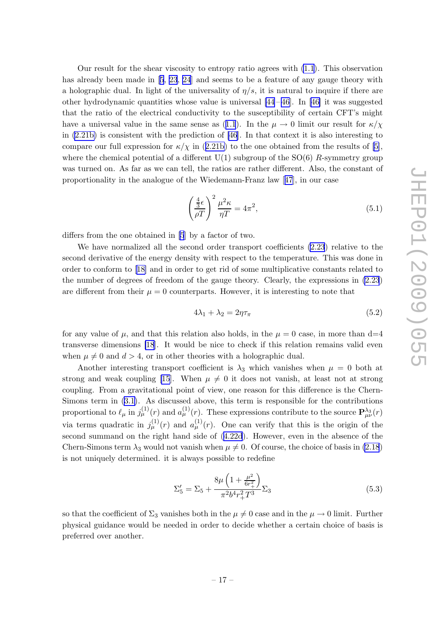Our result for the shear viscosity to entropy ratio agrees with [\(1.1](#page-3-0)). This observation hasalready been made in [[5](#page-25-0), [23](#page-26-0), [24](#page-26-0)] and seems to be a feature of any gauge theory with a holographic dual. In light of the universality of  $\eta/s$ , it is natural to inquire if there are other hydrodynamic quantities whose value is universal  $[44-46]$ . In [\[46\]](#page-27-0) it was suggested that the ratio of the electrical conductivity to the susceptibility of certain CFT's might have a universal value in the same sense as ([1.1](#page-3-0)). In the  $\mu \to 0$  limit our result for  $\kappa/\chi$ in  $(2.21b)$  is consistent with the prediction of [\[46](#page-27-0)]. In that context it is also interesting to compare our full expression for  $\kappa/\chi$  in ([2.21b\)](#page-8-0) to the one obtained from the results of [\[5\]](#page-25-0), where the chemical potential of a different  $U(1)$  subgroup of the  $SO(6)$  R-symmetry group was turned on. As far as we can tell, the ratios are rather different. Also, the constant of proportionality in the analogue of the Wiedemann-Franz law [[47](#page-27-0)], in our case

$$
\left(\frac{\frac{4}{3}\epsilon}{\rho T}\right)^2 \frac{\mu^2 \kappa}{\eta T} = 4\pi^2,\tag{5.1}
$$

differs from the one obtained in [\[5](#page-25-0)] by a factor of two.

We have normalized all the second order transport coefficients [\(2.23](#page-9-0)) relative to the second derivative of the energy density with respect to the temperature. This was done in order to conform to[[18\]](#page-26-0) and in order to get rid of some multiplicative constants related to the number of degrees of freedom of the gauge theory. Clearly, the expressions in [\(2.23](#page-9-0)) are different from their  $\mu = 0$  counterparts. However, it is interesting to note that

$$
4\lambda_1 + \lambda_2 = 2\eta \tau_\pi \tag{5.2}
$$

for any value of  $\mu$ , and that this relation also holds, in the  $\mu = 0$  case, in more than d=4 transverse dimensions [\[18](#page-26-0)]. It would be nice to check if this relation remains valid even when  $\mu \neq 0$  and  $d > 4$ , or in other theories with a holographic dual.

Another interesting transport coefficient is  $\lambda_3$  which vanishes when  $\mu = 0$  both at strong and weak coupling [\[15](#page-25-0)]. When  $\mu \neq 0$  it does not vanish, at least not at strong coupling. From a gravitational point of view, one reason for this difference is the Chern-Simons term in [\(3.1](#page-10-0)). As discussed above, this term is responsible for the contributions proportional to  $\ell_\mu$  in  $j^{(1)}_\mu(r)$  and  $a^{(1)}_\mu(r)$ . These expressions contribute to the source  $\mathbf{P}^{\lambda_3}_{\mu\nu}(r)$ via terms quadratic in  $j_{\mu}^{(1)}(r)$  and  $a_{\mu}^{(1)}(r)$ . One can verify that this is the origin of the second summand on the right hand side of [\(4.22d](#page-17-0)). However, even in the absence of the Chern-Simons term  $\lambda_3$  would not vanish when  $\mu \neq 0$ . Of course, the choice of basis in [\(2.18](#page-7-0)) is not uniquely determined. it is always possible to redefine

$$
\Sigma_5' = \Sigma_5 + \frac{8\mu \left(1 + \frac{\mu^2}{6r_+^2}\right)}{\pi^2 b^4 r_+^2 T^3} \Sigma_3 \tag{5.3}
$$

so that the coefficient of  $\Sigma_3$  vanishes both in the  $\mu \neq 0$  case and in the  $\mu \to 0$  limit. Further physical guidance would be needed in order to decide whether a certain choice of basis is preferred over another.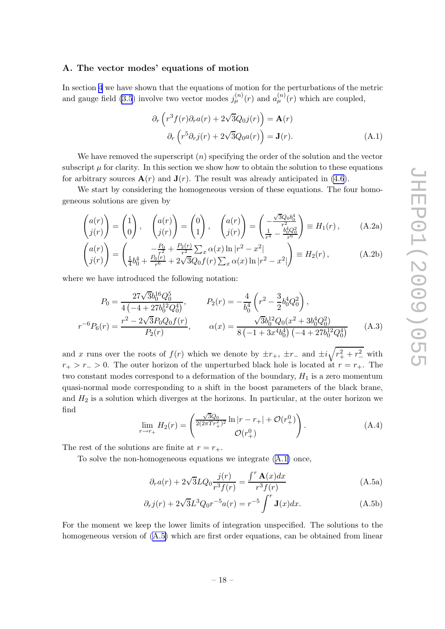#### <span id="page-20-0"></span>A. The vector modes' equations of motion

In section [4](#page-12-0) we have shown that the equations of motion for the perturbations of the metric and gauge field [\(3.5](#page-10-0)) involve two vector modes  $j_{\mu}^{(n)}(r)$  and  $a_{\mu}^{(n)}(r)$  which are coupled,

$$
\partial_r \left( r^3 f(r) \partial_r a(r) + 2\sqrt{3} Q_0 j(r) \right) = \mathbf{A}(r)
$$
  

$$
\partial_r \left( r^5 \partial_r j(r) + 2\sqrt{3} Q_0 a(r) \right) = \mathbf{J}(r).
$$
 (A.1)

We have removed the superscript  $(n)$  specifying the order of the solution and the vector subscript  $\mu$  for clarity. In this section we show how to obtain the solution to these equations for arbitrary sources  $\mathbf{A}(r)$  and  $\mathbf{J}(r)$ . The result was already anticipated in [\(4.6](#page-14-0)).

We start by considering the homogeneous version of these equations. The four homogeneous solutions are given by

$$
\begin{pmatrix} a(r) \\ j(r) \end{pmatrix} = \begin{pmatrix} 1 \\ 0 \end{pmatrix}, \quad \begin{pmatrix} a(r) \\ j(r) \end{pmatrix} = \begin{pmatrix} 0 \\ 1 \end{pmatrix}, \quad \begin{pmatrix} a(r) \\ j(r) \end{pmatrix} = \begin{pmatrix} -\frac{\sqrt{3}Q_0b_0^4}{r^2} \\ \frac{1}{r^4} - \frac{b_0^4Q_0^2}{r^6} \end{pmatrix} \equiv H_1(r), \quad (A.2a)
$$

$$
\begin{pmatrix} a(r) \\ j(r) \end{pmatrix} = \begin{pmatrix} -\frac{P_0}{r^2} + \frac{P_2(r)}{r^2} \sum_x \alpha(x) \ln|r^2 - x^2| \\ \frac{1}{4}b_0^4 + \frac{P_6(r)}{r^6} + 2\sqrt{3}Q_0 f(r) \sum_x \alpha(x) \ln|r^2 - x^2| \end{pmatrix} \equiv H_2(r) , \tag{A.2b}
$$

where we have introduced the following notation:

$$
P_0 = \frac{27\sqrt{3}b_0^{16}Q_0^5}{4\left(-4 + 27b_0^{12}Q_0^4\right)}, \qquad P_2(r) = -\frac{4}{b_0^4}\left(r^2 - \frac{3}{2}b_0^4Q_0^2\right),
$$
  

$$
r^{-6}P_6(r) = \frac{r^2 - 2\sqrt{3}P_0Q_0f(r)}{P_2(r)}, \qquad \alpha(x) = \frac{\sqrt{3}b_0^{12}Q_0(x^2 + 3b_0^4Q_0^2)}{8\left(-1 + 3x^4b_0^4\right)\left(-4 + 27b_0^{12}Q_0^4\right)}\tag{A.3}
$$

and x runs over the roots of  $f(r)$  which we denote by  $\pm r_+$ ,  $\pm r_-$  and  $\pm i\sqrt{r_+^2 + r_-^2}$  with  $r_{+} > r_{-} > 0$ . The outer horizon of the unperturbed black hole is located at  $r = r_{+}$ . The two constant modes correspond to a deformation of the boundary,  $H_1$  is a zero momentum quasi-normal mode corresponding to a shift in the boost parameters of the black brane, and  $H_2$  is a solution which diverges at the horizons. In particular, at the outer horizon we find

$$
\lim_{r \to r_+} H_2(r) = \begin{pmatrix} \frac{\sqrt{3}Q_0}{2(2\pi Tr_+^2)^2} \ln|r - r_+| + \mathcal{O}(r_+^0) \\ \mathcal{O}(r_+^0) \end{pmatrix} . \tag{A.4}
$$

The rest of the solutions are finite at  $r = r_{+}$ .

To solve the non-homogeneous equations we integrate (A.1) once,

$$
\partial_r a(r) + 2\sqrt{3}L Q_0 \frac{j(r)}{r^3 f(r)} = \frac{\int^r \mathbf{A}(x) dx}{r^3 f(r)}
$$
(A.5a)

$$
\partial_r j(r) + 2\sqrt{3}L^3 Q_0 r^{-5} a(r) = r^{-5} \int^r \mathbf{J}(x) dx.
$$
 (A.5b)

For the moment we keep the lower limits of integration unspecified. The solutions to the homogeneous version of (A.5) which are first order equations, can be obtained from linear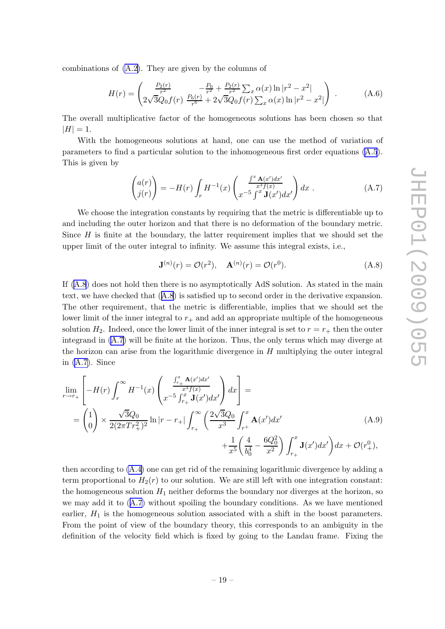<span id="page-21-0"></span>combinations of [\(A.2\)](#page-20-0). They are given by the columns of

$$
H(r) = \begin{pmatrix} \frac{P_2(r)}{r^2} & -\frac{P_0}{r^2} + \frac{P_2(r)}{r^2} \sum_x \alpha(x) \ln|r^2 - x^2| \\ 2\sqrt{3}Q_0 f(r) & \frac{P_6(r)}{r^6} + 2\sqrt{3}Q_0 f(r) \sum_x \alpha(x) \ln|r^2 - x^2| \end{pmatrix} .
$$
 (A.6)

The overall multiplicative factor of the homogeneous solutions has been chosen so that  $|H| = 1.$ 

With the homogeneous solutions at hand, one can use the method of variation of parameters to find a particular solution to the inhomogeneous first order equations ([A.5](#page-20-0)). This is given by

$$
\begin{pmatrix} a(r) \\ j(r) \end{pmatrix} = -H(r) \int_r H^{-1}(x) \begin{pmatrix} \frac{\int^x \mathbf{A}(x')dx'}{x^3 f(x)} \\ x^{-5} \int^x \mathbf{J}(x')dx' \end{pmatrix} dx . \tag{A.7}
$$

We choose the integration constants by requiring that the metric is differentiable up to and including the outer horizon and that there is no deformation of the boundary metric. Since  $H$  is finite at the boundary, the latter requirement implies that we should set the upper limit of the outer integral to infinity. We assume this integral exists, i.e.,

$$
\mathbf{J}^{(n)}(r) = \mathcal{O}(r^2), \quad \mathbf{A}^{(n)}(r) = \mathcal{O}(r^0). \tag{A.8}
$$

If (A.8) does not hold then there is no asymptotically AdS solution. As stated in the main text, we have checked that (A.8) is satisfied up to second order in the derivative expansion. The other requirement, that the metric is differentiable, implies that we should set the lower limit of the inner integral to  $r_{+}$  and add an appropriate multiple of the homogeneous solution  $H_2$ . Indeed, once the lower limit of the inner integral is set to  $r = r_+$  then the outer integrand in (A.7) will be finite at the horizon. Thus, the only terms which may diverge at the horizon can arise from the logarithmic divergence in  $H$  multiplying the outer integral in (A.7). Since

$$
\lim_{r \to r_{+}} \left[ -H(r) \int_{r}^{\infty} H^{-1}(x) \left( \frac{\int_{r_{+}}^{x} A(x')dx'}{x^{3} f(x)} \right) dx \right] =
$$
\n
$$
= \begin{pmatrix} 1 \\ 0 \end{pmatrix} \times \frac{\sqrt{3}Q_{0}}{2(2\pi Tr_{+}^{2})^{2}} \ln|r - r_{+}| \int_{r_{+}}^{\infty} \left( \frac{2\sqrt{3}Q_{0}}{x^{3}} \int_{r^{+}}^{x} A(x')dx' + \frac{1}{x^{5}} \left( \frac{4}{b_{0}^{4}} - \frac{6Q_{0}^{2}}{x^{2}} \right) \int_{r_{+}}^{x} \mathbf{J}(x')dx' \right) dx + \mathcal{O}(r_{+}^{0}),
$$
\n(A.9)

then according to [\(A.4](#page-20-0)) one can get rid of the remaining logarithmic divergence by adding a term proportional to  $H_2(r)$  to our solution. We are still left with one integration constant: the homogeneous solution  $H_1$  neither deforms the boundary nor diverges at the horizon, so we may add it to (A.7) without spoiling the boundary conditions. As we have mentioned earlier,  $H_1$  is the homogeneous solution associated with a shift in the boost parameters. From the point of view of the boundary theory, this corresponds to an ambiguity in the definition of the velocity field which is fixed by going to the Landau frame. Fixing the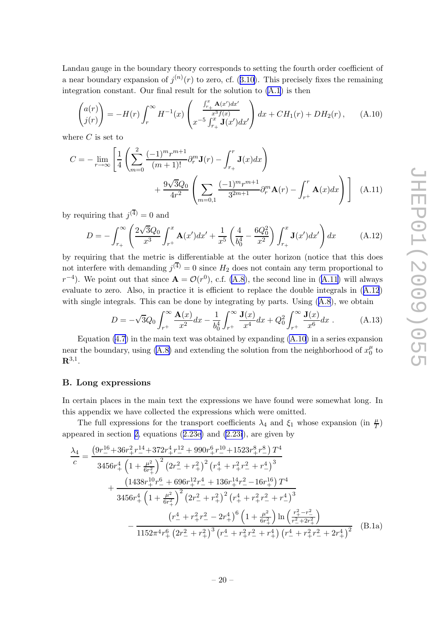<span id="page-22-0"></span>Landau gauge in the boundary theory corresponds to setting the fourth order coefficient of a near boundary expansion of  $j^{(n)}(r)$  to zero, cf. ([3.10\)](#page-11-0). This precisely fixes the remaining integration constant. Our final result for the solution to [\(A.1](#page-20-0)) is then

$$
\begin{pmatrix} a(r) \\ j(r) \end{pmatrix} = -H(r) \int_r^{\infty} H^{-1}(x) \begin{pmatrix} \frac{\int_{r_+}^x \mathbf{A}(x')dx'}{x^3 f(x)} \\ x^{-5} \int_{r_+}^x \mathbf{J}(x')dx' \end{pmatrix} dx + CH_1(r) + DH_2(r), \quad (A.10)
$$

where  $C$  is set to

$$
C = -\lim_{r \to \infty} \left[ \frac{1}{4} \left( \sum_{m=0}^{2} \frac{(-1)^m r^{m+1}}{(m+1)!} \partial_r^m \mathbf{J}(r) - \int_{r_+}^r \mathbf{J}(x) dx \right) + \frac{9\sqrt{3}Q_0}{4r^2} \left( \sum_{m=0,1} \frac{(-1)^m r^{m+1}}{3^{2m+1}} \partial_r^m \mathbf{A}(r) - \int_{r_+}^r \mathbf{A}(x) dx \right) \right]
$$
(A.11)

by requiring that  $j^{(4)} = 0$  and

$$
D = -\int_{r_+}^{\infty} \left( \frac{2\sqrt{3}Q_0}{x^3} \int_{r_+}^x \mathbf{A}(x') dx' + \frac{1}{x^5} \left( \frac{4}{b_0^4} - \frac{6Q_0^2}{x^2} \right) \int_{r_+}^x \mathbf{J}(x') dx' \right) dx \tag{A.12}
$$

by requiring that the metric is differentiable at the outer horizon (notice that this does not interfere with demanding  $j^{(4)} = 0$  since  $H_2$  does not contain any term proportional to  $r^{-4}$ ). We point out that since  $\mathbf{A} = \mathcal{O}(r^0)$ , c.f. [\(A.8\)](#page-21-0), the second line in (A.11) will always evaluate to zero. Also, in practice it is efficient to replace the double integrals in (A.12) with single integrals. This can be done by integrating by parts. Using  $(A.8)$  $(A.8)$  $(A.8)$ , we obtain

$$
D = -\sqrt{3}Q_0 \int_{r^+}^{\infty} \frac{\mathbf{A}(x)}{x^2} dx - \frac{1}{b_0^4} \int_{r^+}^{\infty} \frac{\mathbf{J}(x)}{x^4} dx + Q_0^2 \int_{r^+}^{\infty} \frac{\mathbf{J}(x)}{x^6} dx . \tag{A.13}
$$

Equation  $(4.7)$  in the main text was obtained by expanding  $(A.10)$  in a series expansion near the boundary, using [\(A.8\)](#page-21-0) and extending the solution from the neighborhood of  $x_0^{\mu}$  $\int_0^\mu$  to  ${\bf R}^{3,1}.$ 

#### B. Long expressions

In certain places in the main text the expressions we have found were somewhat long. In this appendix we have collected the expressions which were omitted.

The full expressions for the transport coefficients  $\lambda_4$  and  $\xi_1$  whose expansion (in  $\frac{\mu}{T}$ ) appeared in section [2,](#page-5-0) equations ([2.23e\)](#page-9-0) and [\(2.23i](#page-9-0)), are given by

$$
\frac{\lambda_4}{c} = \frac{\left(9r_{-}^{16} + 36r_{+}^2r_{-}^{14} + 372r_{+}^4r_{-}^{12} + 990r_{+}^6r_{-}^{10} + 1523r_{+}^8r_{-}^8\right)T^4}{3456r_{+}^4\left(1 + \frac{\mu^2}{6r_{+}^2}\right)^2\left(2r_{-}^2 + r_{+}^2\right)^2\left(r_{+}^4 + r_{+}^2r_{-}^2 + r_{-}^4\right)^3} \n+ \frac{\left(1438r_{+}^{10}r_{-}^6 + 696r_{+}^{12}r_{-}^4 + 136r_{+}^{14}r_{-}^2 - 16r_{+}^{16}\right)T^4}{3456r_{+}^4\left(1 + \frac{\mu^2}{6r_{+}^2}\right)^2\left(2r_{-}^2 + r_{+}^2\right)^2\left(r_{+}^4 + r_{+}^2r_{-}^2 + r_{-}^4\right)^3} \n- \frac{\left(r_{-}^4 + r_{+}^2r_{-}^2 - 2r_{+}^4\right)^6\left(1 + \frac{\mu^2}{6r_{+}^2}\right)\ln\left(\frac{r_{+}^2 - r_{-}^2}{r_{-}^2 + r_{+}^2}\right)}{1152\pi^4r_{+}^6\left(2r_{-}^2 + r_{+}^2\right)^3\left(r_{-}^4 + r_{+}^2r_{-}^2 + r_{+}^4\right)\left(r_{-}^4 + r_{+}^2r_{-}^2 + 2r_{+}^4\right)^2} \tag{B.1a}
$$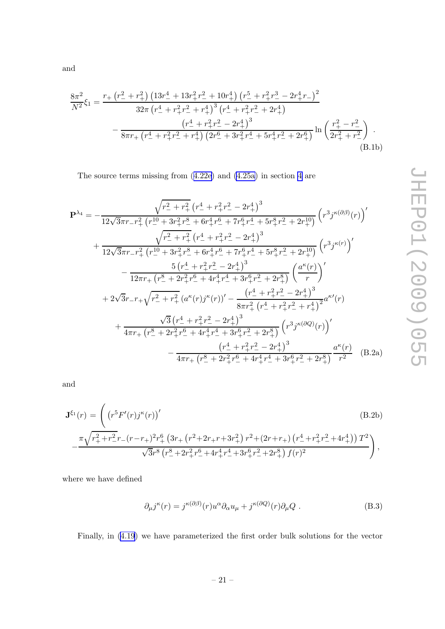$$
\frac{r_{+}\left(r_{-}^{2}+r_{+}^{2}\right)\left(13r_{-}^{4}+13r_{+}^{2}r_{-}^{2}+10r_{+}^{4}\right)\left(r_{-}^{5}+r_{+}^{2}r_{-}^{3}-2r_{+}^{4}r_{-}\right)^{2}}{32\pi\left(r_{-}^{4}+r_{+}^{2}r_{-}^{2}+r_{+}^{4}\right)^{3}\left(r_{-}^{4}+r_{+}^{2}r_{-}^{2}+2r_{+}^{4}\right)} -\frac{\left(r_{-}^{4}+r_{+}^{2}r_{-}^{2}-2r_{+}^{4}\right)^{3}}{8\pi r_{+}\left(r_{-}^{4}+r_{+}^{2}r_{-}^{2}+r_{+}^{4}\right)\left(2r_{-}^{6}+3r_{+}^{2}r_{-}^{4}+5r_{+}^{4}r_{-}^{2}+2r_{+}^{6}\right)}\ln\left(\frac{r_{+}^{2}-r_{-}^{2}}{2r_{+}^{2}+r_{-}^{2}}\right). \tag{B.1b}
$$

The source terms missing from ([4.22e\)](#page-17-0) and [\(4.25a\)](#page-18-0) in section [4](#page-12-0) are

$$
\mathbf{P}^{\lambda_{4}} = -\frac{\sqrt{r_{-}^{2} + r_{+}^{2}}}{12\sqrt{3}\pi r_{-}r_{+}^{2}} \left(r_{-}^{10} + 3r_{+}^{2}r_{-}^{8} + 6r_{+}^{4}r_{-}^{6} + 7r_{+}^{6}r_{+}^{4} + 5r_{+}^{8}r_{-}^{2} + 2r_{+}^{10}\right)} \left(r_{-}^{3}j^{\kappa(\partial\beta)}(r)\right)^{\prime}
$$
  
+ 
$$
\frac{\sqrt{r_{-}^{2} + r_{+}^{2}} \left(r_{-}^{10} + 3r_{+}^{2}r_{-}^{8} + 6r_{+}^{4}r_{-}^{6} + 7r_{+}^{6}r_{-}^{4} + 5r_{+}^{8}r_{-}^{2} + 2r_{+}^{10}\right)}{12\sqrt{3}\pi r_{-}r_{+}^{2}\left(r_{-}^{10} + 3r_{+}^{2}r_{-}^{8} + 6r_{+}^{4}r_{-}^{6} + 7r_{+}^{6}r_{-}^{4} + 5r_{+}^{8}r_{-}^{2} + 2r_{+}^{10}\right)} \left(r_{-}^{3}j^{\kappa(r)}\right)^{\prime}
$$
  
- 
$$
\frac{5\left(r_{-}^{4} + r_{+}^{2}r_{-}^{2} - 2r_{+}^{4}\right)^{3}}{12\pi r_{+}\left(r_{-}^{8} + 2r_{+}^{2}r_{-}^{6} + 4r_{+}^{4}r_{-}^{4} + 3r_{+}^{6}r_{-}^{2} + 2r_{+}^{8}\right)} \left(\frac{a^{\kappa}(r)}{r}\right)^{\prime}
$$
  
+ 
$$
2\sqrt{3}r_{-}r_{+}\sqrt{r_{-}^{2} + r_{+}^{2}} \left(a^{\kappa}(r)j^{\kappa}(r)\right)^{\prime} - \frac{\left(r_{-}^{4} + r_{+}^{2}r_{-}^{2} - 2r_{+}^{4}\right)^{3}}{8\pi r_{+}^{2}\left(r_{-}^{4} + r_{+}^{2}r_{-}^{2} + r_{+}^{4}\right)^{2}}a^{\kappa\prime}(r)}
$$
  
+ 
$$
\frac{\sqrt{3}\left(r_{-
$$

and

$$
\mathbf{J}^{\xi_1}(r) = \left( \left( r^5 F'(r) j^{\kappa}(r) \right)' \tag{B.2b}
$$
\n
$$
- \frac{\pi \sqrt{r_+^2 + r_-^2} r_- (r - r_+)^2 r_+^6 \left( 3r_+ \left( r_-^2 + 2r_+ r_+ 3r_+^2 \right) r^2 + \left( 2r_+ r_+ \right) \left( r_-^4 + r_+^2 r_-^2 + 4r_+^4 \right) \right) T^2}{\sqrt{3} r^8 \left( r_-^8 + 2r_+^2 r_-^6 + 4r_+^4 r_-^4 + 3r_+^6 r_-^2 + 2r_+^8 \right) f(r)^2} \right),
$$
\n(B.2b)

where we have defined

$$
\partial_{\mu}j^{\kappa}(r) = j^{\kappa(\partial\beta)}(r)u^{\alpha}\partial_{\alpha}u_{\mu} + j^{\kappa(\partial Q)}(r)\partial_{\mu}Q.
$$
 (B.3)

Finally, in [\(4.19](#page-16-0)) we have parameterized the first order bulk solutions for the vector

.

<span id="page-23-0"></span>and

 $8\pi^2$  $\frac{S}{N^2}\xi_1 =$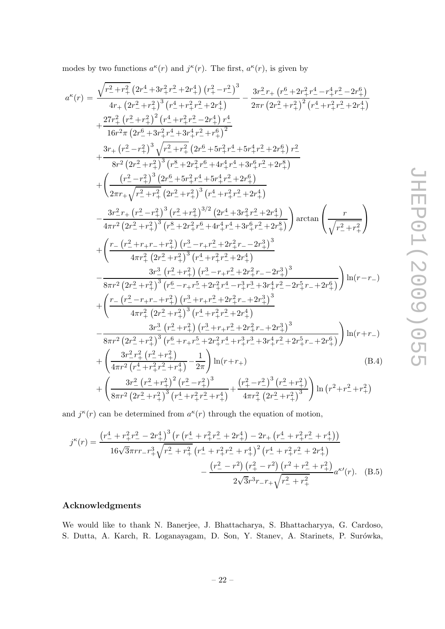<span id="page-24-0"></span>modes by two functions  $a^{\kappa}(r)$  and  $j^{\kappa}(r)$ . The first,  $a^{\kappa}(r)$ , is given by

$$
a^{\kappa}(r) = \frac{\sqrt{r_{-}^{2} + r_{+}^{2}} \left(2r_{-}^{4} + 3r_{+}^{2}r_{-}^{2} + 2r_{+}^{4}\right) (r_{+}^{2} - r_{-}^{2})^{3}}{4r_{+} \left(2r_{-}^{2} + r_{+}^{2}\right)^{3} \left(r_{-}^{4} + r_{+}^{2}r_{-}^{2} + 2r_{+}^{4}\right)}} - \frac{3r_{-}^{2}r_{+} \left(r_{-}^{6} + 2r_{+}^{2}r_{-}^{4} - r_{+}^{4}r_{-}^{2} - 2r_{+}^{6}\right)}{2\pi r \left(2r_{-}^{2} + r_{+}^{2}\right)^{2} \left(r_{-}^{4} + r_{+}^{2}r_{-}^{2} + 2r_{+}^{4}\right)}}{16r_{-}^{2}\pi \left(2r_{-}^{6} + 3r_{+}^{2}r_{-}^{4} + 3r_{+}^{4}r_{-}^{2} + r_{+}^{6}\right)^{2}}
$$
\n
$$
+ \frac{3r_{+} \left(r_{-}^{2} - r_{+}^{2}\right)^{3} \left(r_{-}^{8} + r_{+}^{2}r_{-}^{2} + r_{+}^{6}\right)^{2}}{8r^{2} \left(2r_{-}^{2} + r_{+}^{2}\right)^{3} \left(r_{-}^{8} + 2r_{+}^{2}r_{-}^{6} + 4r_{+}^{4}r_{-}^{4} + 3r_{+}^{6}r_{-}^{2} + 2r_{+}^{8}\right)}
$$
\n
$$
+ \left(\frac{\left(r_{-}^{2} - r_{+}^{2}\right)^{3} \left(r_{-}^{8} + 5r_{+}^{2}r_{-}^{6} + 4r_{+}^{4}r_{-}^{4} + 3r_{+}^{6}r_{-}^{2} + 2r_{+}^{8}\right)}{2\pi r_{+} \sqrt{r_{-}^{2} + r_{+}^{2}} \left(2r_{-}^{2} + r_{+}^{2}\right)^{3} \left(r_{-}^{4} + r_{+}^{2}r_{-}^{2} + 2r_{+}^{4}\right)}}\right)} - \frac{3r_{-}^{2}r_{+} \left(r_{-}^{2} -
$$

and  $j^{\kappa}(r)$  can be determined from  $a^{\kappa}(r)$  through the equation of motion,

$$
j^{\kappa}(r) = \frac{\left(r_{-}^{4} + r_{+}^{2}r_{-}^{2} - 2r_{+}^{4}\right)^{3}\left(r\left(r_{-}^{4} + r_{+}^{2}r_{-}^{2} + 2r_{+}^{4}\right) - 2r_{+}\left(r_{-}^{4} + r_{+}^{2}r_{-}^{2} + r_{+}^{4}\right)\right)}{16\sqrt{3}\pi rr_{-}r_{+}^{3}\sqrt{r_{-}^{2} + r_{+}^{2}}\left(r_{-}^{4} + r_{+}^{2}r_{-}^{2} + r_{+}^{4}\right)^{2}\left(r_{-}^{4} + r_{+}^{2}r_{-}^{2} + 2r_{+}^{4}\right)} - \frac{\left(r_{-}^{2} - r_{-}^{2}\right)\left(r_{+}^{2} - r_{-}^{2}\right)\left(r_{-}^{2} + r_{-}^{2} + r_{+}^{2}\right)}{2\sqrt{3}r^{3}r_{-}r_{+}\sqrt{r_{-}^{2} + r_{+}^{2}}}a^{\kappa}(r). \tag{B.5}
$$

### Acknowledgments

We would like to thank N. Banerjee, J. Bhattacharya, S. Bhattacharyya, G. Cardoso, S. Dutta, A. Karch, R. Loganayagam, D. Son, Y. Stanev, A. Starinets, P. Surówka,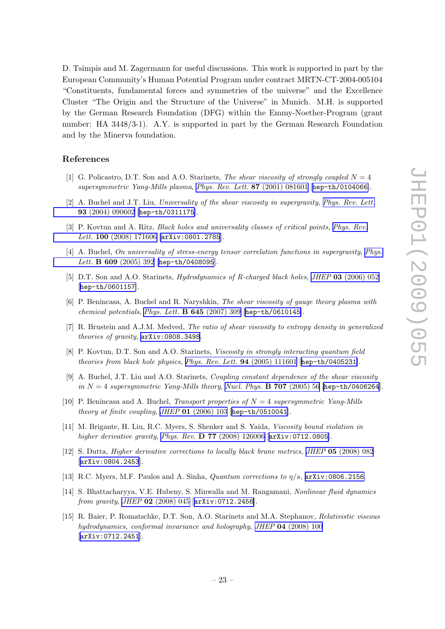<span id="page-25-0"></span>D. Tsimpis and M. Zagermann for useful discussions. This work is supported in part by the European Community's Human Potential Program under contract MRTN-CT-2004-005104 "Constituents, fundamental forces and symmetries of the universe" and the Excellence Cluster "The Origin and the Structure of the Universe" in Munich. M.H. is supported by the German Research Foundation (DFG) within the Emmy-Noether-Program (grant number: HA 3448/3-1). A.Y. is supported in part by the German Research Foundation and by the Minerva foundation.

#### References

- [1] G. Policastro, D.T. Son and A.O. Starinets, The shear viscosity of strongly coupled  $N = 4$ supersymmetric Yang-Mills plasma, [Phys. Rev. Lett.](http://www-spires.slac.stanford.edu/spires/find/hep/www?j=PRLTA%2C87%2C081601) 87 (2001) 081601 [[hep-th/0104066](http://arxiv.org/abs/hep-th/0104066)].
- [2] A. Buchel and J.T. Liu, Universality of the shear viscosity in supergravity, [Phys. Rev. Lett.](http://www-spires.slac.stanford.edu/spires/find/hep/www?j=PRLTA%2C93%2C090602) 93 [\(2004\) 090602](http://www-spires.slac.stanford.edu/spires/find/hep/www?j=PRLTA%2C93%2C090602) [[hep-th/0311175](http://arxiv.org/abs/hep-th/0311175)].
- [3] P. Kovtun and A. Ritz, *Black holes and universality classes of critical points*, *[Phys. Rev.](http://www-spires.slac.stanford.edu/spires/find/hep/www?j=PRLTA%2C100%2C171606)* Lett. 100 [\(2008\) 171606](http://www-spires.slac.stanford.edu/spires/find/hep/www?j=PRLTA%2C100%2C171606) [arXiv: 0801.2785].
- [4] A. Buchel, *On universality of stress-energy tensor correlation functions in supergravity. [Phys.](http://www-spires.slac.stanford.edu/spires/find/hep/www?j=PHLTA%2CB609%2C392)* Lett. **B 609** [\(2005\) 392](http://www-spires.slac.stanford.edu/spires/find/hep/www?j=PHLTA%2CB609%2C392) [[hep-th/0408095](http://arxiv.org/abs/hep-th/0408095)].
- [5] D.T. Son and A.O. Starinets, *Hydrodynamics of R-charged black holes, JHEP* 03 [\(2006\) 052](http://jhep.sissa.it/stdsearch?paper=03%282006%29052) [[hep-th/0601157](http://arxiv.org/abs/hep-th/0601157)].
- [6] P. Benincasa, A. Buchel and R. Naryshkin, The shear viscosity of gauge theory plasma with chemical potentials, [Phys. Lett.](http://www-spires.slac.stanford.edu/spires/find/hep/www?j=PHLTA%2CB645%2C309)  $\bf{B}$  645 (2007) 309 [[hep-th/0610145](http://arxiv.org/abs/hep-th/0610145)].
- [7] R. Brustein and A.J.M. Medved, The ratio of shear viscosity to entropy density in generalized theories of gravity, [arXiv:0808.3498](http://arxiv.org/abs/0808.3498).
- [8] P. Kovtun, D.T. Son and A.O. Starinets, Viscosity in strongly interacting quantum field theories from black hole physics, [Phys. Rev. Lett.](http://www-spires.slac.stanford.edu/spires/find/hep/www?j=PRLTA%2C94%2C111601) 94 (2005) 111601 [[hep-th/0405231](http://arxiv.org/abs/hep-th/0405231)].
- [9] A. Buchel, J.T. Liu and A.O. Starinets, Coupling constant dependence of the shear viscosity in  $N = 4$  supersymmetric Yang-Mills theory, [Nucl. Phys.](http://www-spires.slac.stanford.edu/spires/find/hep/www?j=NUPHA%2CB707%2C56) **B** 707 (2005) 56 [[hep-th/0406264](http://arxiv.org/abs/hep-th/0406264)].
- [10] P. Benincasa and A. Buchel, Transport properties of  $N = 4$  supersymmetric Yang-Mills theory at finite coupling, JHEP 01 [\(2006\) 103](http://jhep.sissa.it/stdsearch?paper=01%282006%29103) [[hep-th/0510041](http://arxiv.org/abs/hep-th/0510041)].
- [11] M. Brigante, H. Liu, R.C. Myers, S. Shenker and S. Yaida, Viscosity bound violation in higher derivative gravity, Phys. Rev. **D 77** [\(2008\) 126006](http://www-spires.slac.stanford.edu/spires/find/hep/www?j=PHRVA%2CD77%2C126006) [arXiv: 0712.0805].
- [12] S. Dutta, *Higher derivative corrections to locally black brane metrics, JHEP* 05 [\(2008\) 082](http://jhep.sissa.it/stdsearch?paper=05%282008%29082) [[arXiv:0804.2453](http://arxiv.org/abs/0804.2453)].
- [13] R.C. Myers, M.F. Paulos and A. Sinha, *Quantum corrections to*  $\eta/s$ ,  $\arxiv:0806.2156$ .
- [14] S. Bhattacharyya, V.E. Hubeny, S. Minwalla and M. Rangamani, Nonlinear fluid dynamics from gravity, JHEP 02 [\(2008\) 045](http://jhep.sissa.it/stdsearch?paper=02%282008%29045) [[arXiv:0712.2456](http://arxiv.org/abs/0712.2456)].
- [15] R. Baier, P. Romatschke, D.T. Son, A.O. Starinets and M.A. Stephanov, Relativistic viscous hydrodynamics, conformal invariance and holography, JHEP 04 [\(2008\) 100](http://jhep.sissa.it/stdsearch?paper=04%282008%29100) [[arXiv:0712.2451](http://arxiv.org/abs/0712.2451)].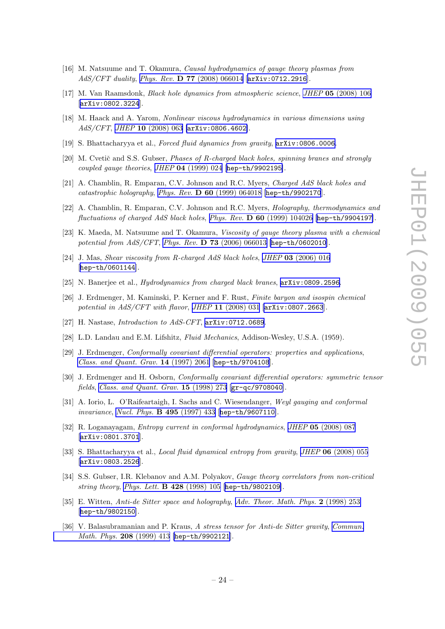- <span id="page-26-0"></span>[16] M. Natsuume and T. Okamura, Causal hydrodynamics of gauge theory plasmas from AdS/CFT duality, Phys. Rev. D 77 [\(2008\) 066014](http://www-spires.slac.stanford.edu/spires/find/hep/www?j=PHRVA%2CD77%2C066014) [[arXiv:0712.2916](http://arxiv.org/abs/0712.2916)].
- [17] M. Van Raamsdonk, Black hole dynamics from atmospheric science, JHEP 05 [\(2008\) 106](http://jhep.sissa.it/stdsearch?paper=05%282008%29106) [[arXiv:0802.3224](http://arxiv.org/abs/0802.3224)].
- [18] M. Haack and A. Yarom, Nonlinear viscous hydrodynamics in various dimensions using AdS/CFT, JHEP 10 [\(2008\) 063](http://jhep.sissa.it/stdsearch?paper=10%282008%29063) [[arXiv:0806.4602](http://arxiv.org/abs/0806.4602)].
- [19] S. Bhattacharyya et al., Forced fluid dynamics from gravity,  $arXiv:0806.0006$ .
- [20] M. Cvetič and S.S. Gubser, Phases of R-charged black holes, spinning branes and strongly coupled gauge theories, JHEP 04 [\(1999\) 024](http://jhep.sissa.it/stdsearch?paper=04%281999%29024) [[hep-th/9902195](http://arxiv.org/abs/hep-th/9902195)].
- [21] A. Chamblin, R. Emparan, C.V. Johnson and R.C. Myers, Charged AdS black holes and catastrophic holography, Phys. Rev. D 60 [\(1999\) 064018](http://www-spires.slac.stanford.edu/spires/find/hep/www?j=PHRVA%2CD60%2C064018) [[hep-th/9902170](http://arxiv.org/abs/hep-th/9902170)].
- [22] A. Chamblin, R. Emparan, C.V. Johnson and R.C. Myers, Holography, thermodynamics and fluctuations of charged AdS black holes, Phys. Rev. D 60 [\(1999\) 104026](http://www-spires.slac.stanford.edu/spires/find/hep/www?j=PHRVA%2CD60%2C104026) [[hep-th/9904197](http://arxiv.org/abs/hep-th/9904197)].
- [23] K. Maeda, M. Natsuume and T. Okamura, Viscosity of gauge theory plasma with a chemical potential from  $AdS/CFT$ , Phys. Rev. **D 73** [\(2006\) 066013](http://www-spires.slac.stanford.edu/spires/find/hep/www?j=PHRVA%2CD73%2C066013) [[hep-th/0602010](http://arxiv.org/abs/hep-th/0602010)].
- [24] J. Mas, Shear viscosity from R-charged AdS black holes, JHEP 03 [\(2006\) 016](http://jhep.sissa.it/stdsearch?paper=03%282006%29016) [[hep-th/0601144](http://arxiv.org/abs/hep-th/0601144)].
- [25] N. Banerjee et al., Hydrodynamics from charged black branes, [arXiv:0809.2596](http://arxiv.org/abs/0809.2596).
- [26] J. Erdmenger, M. Kaminski, P. Kerner and F. Rust, Finite baryon and isospin chemical potential in AdS/CFT with flavor, JHEP 11 [\(2008\) 031](http://jhep.sissa.it/stdsearch?paper=11%282008%29031) [[arXiv:0807.2663](http://arxiv.org/abs/0807.2663)].
- [27] H. Nastase, *Introduction to AdS-CFT*,  $arXiv:0712.0689$ .
- [28] L.D. Landau and E.M. Lifshitz, Fluid Mechanics, Addison-Wesley, U.S.A. (1959).
- [29] J. Erdmenger, Conformally covariant differential operators: properties and applications, [Class. and Quant. Grav.](http://www-spires.slac.stanford.edu/spires/find/hep/www?j=CQGRD%2C14%2C2061) 14 (1997) 2061 [[hep-th/9704108](http://arxiv.org/abs/hep-th/9704108)].
- [30] J. Erdmenger and H. Osborn, Conformally covariant differential operators: symmetric tensor fields, [Class. and Quant. Grav.](http://www-spires.slac.stanford.edu/spires/find/hep/www?j=CQGRD%2C15%2C273) 15 (1998) 273 [[gr-qc/9708040](http://arxiv.org/abs/gr-qc/9708040)].
- [31] A. Iorio, L. O'Raifeartaigh, I. Sachs and C. Wiesendanger, Weyl gauging and conformal invariance, [Nucl. Phys.](http://www-spires.slac.stanford.edu/spires/find/hep/www?j=NUPHA%2CB495%2C433) B 495 (1997) 433 [[hep-th/9607110](http://arxiv.org/abs/hep-th/9607110)].
- [32] R. Loganayagam, Entropy current in conformal hydrodynamics, JHEP 05 [\(2008\) 087](http://jhep.sissa.it/stdsearch?paper=05%282008%29087) [[arXiv:0801.3701](http://arxiv.org/abs/0801.3701)].
- [33] S. Bhattacharyya et al., *Local fluid dynamical entropy from gravity*, *JHEP* **06** [\(2008\) 055](http://jhep.sissa.it/stdsearch?paper=06%282008%29055) [[arXiv:0803.2526](http://arxiv.org/abs/0803.2526)].
- [34] S.S. Gubser, I.R. Klebanov and A.M. Polyakov, Gauge theory correlators from non-critical string theory, [Phys. Lett.](http://www-spires.slac.stanford.edu/spires/find/hep/www?j=PHLTA%2CB428%2C105) B 428 (1998) 105 [[hep-th/9802109](http://arxiv.org/abs/hep-th/9802109)].
- [35] E. Witten, Anti-de Sitter space and holography, [Adv. Theor. Math. Phys.](http://www-spires.slac.stanford.edu/spires/find/hep/www?j=00203%2C2%2C253) 2 (1998) 253 [[hep-th/9802150](http://arxiv.org/abs/hep-th/9802150)].
- [36] V. Balasubramanian and P. Kraus, A stress tensor for Anti-de Sitter gravity, [Commun.](http://www-spires.slac.stanford.edu/spires/find/hep/www?j=CMPHA%2C208%2C413) [Math. Phys.](http://www-spires.slac.stanford.edu/spires/find/hep/www?j=CMPHA%2C208%2C413) 208 (1999) 413 [[hep-th/9902121](http://arxiv.org/abs/hep-th/9902121)].